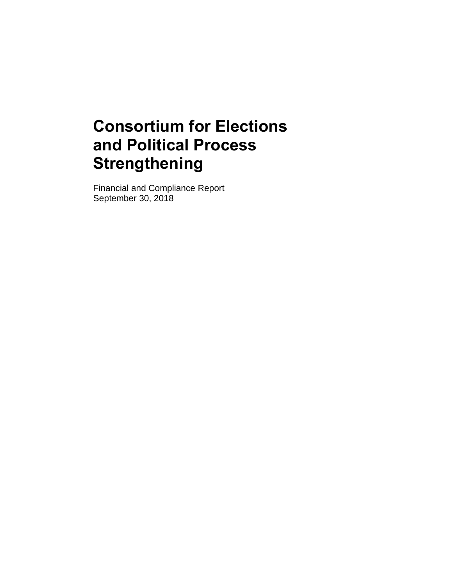Financial and Compliance Report September 30, 2018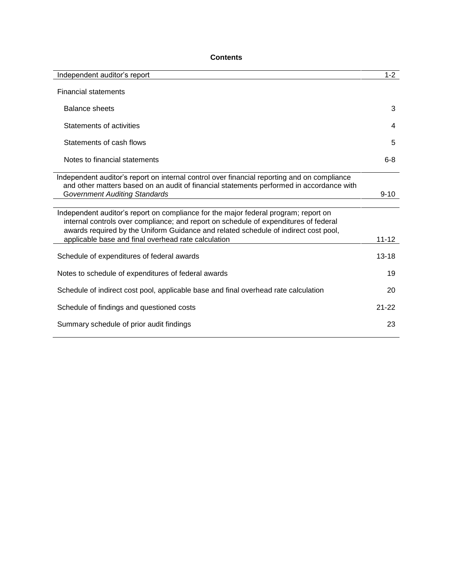# **Contents**

| Independent auditor's report                                                                                                                                                            | $1 - 2$   |
|-----------------------------------------------------------------------------------------------------------------------------------------------------------------------------------------|-----------|
| <b>Financial statements</b>                                                                                                                                                             |           |
| <b>Balance sheets</b>                                                                                                                                                                   | 3         |
| Statements of activities                                                                                                                                                                | 4         |
| Statements of cash flows                                                                                                                                                                | 5         |
| Notes to financial statements                                                                                                                                                           | $6 - 8$   |
| Independent auditor's report on internal control over financial reporting and on compliance<br>and other matters based on an audit of financial statements performed in accordance with | $9 - 10$  |
| <b>Government Auditing Standards</b>                                                                                                                                                    |           |
| Independent auditor's report on compliance for the major federal program; report on<br>internal controls over compliance; and report on schedule of expenditures of federal             |           |
| awards required by the Uniform Guidance and related schedule of indirect cost pool,<br>applicable base and final overhead rate calculation                                              | $11 - 12$ |
| Schedule of expenditures of federal awards                                                                                                                                              | $13 - 18$ |
| Notes to schedule of expenditures of federal awards                                                                                                                                     | 19        |
| Schedule of indirect cost pool, applicable base and final overhead rate calculation                                                                                                     | 20        |
| Schedule of findings and questioned costs                                                                                                                                               | $21 - 22$ |
| Summary schedule of prior audit findings                                                                                                                                                | 23        |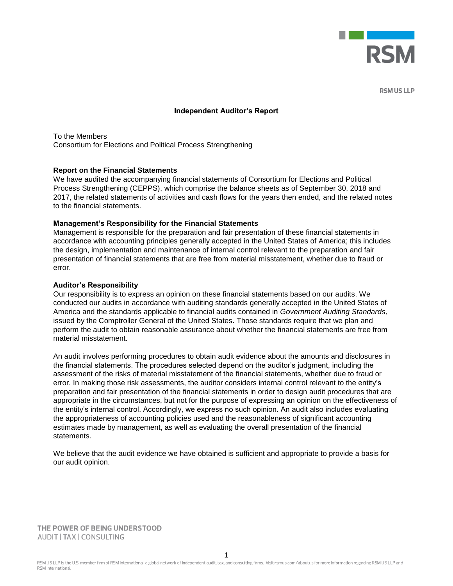

**RSM US LLP** 

### **Independent Auditor's Report**

To the Members Consortium for Elections and Political Process Strengthening

### **Report on the Financial Statements**

We have audited the accompanying financial statements of Consortium for Elections and Political Process Strengthening (CEPPS), which comprise the balance sheets as of September 30, 2018 and 2017, the related statements of activities and cash flows for the years then ended, and the related notes to the financial statements.

### **Management's Responsibility for the Financial Statements**

Management is responsible for the preparation and fair presentation of these financial statements in accordance with accounting principles generally accepted in the United States of America; this includes the design, implementation and maintenance of internal control relevant to the preparation and fair presentation of financial statements that are free from material misstatement, whether due to fraud or error.

### **Auditor's Responsibility**

Our responsibility is to express an opinion on these financial statements based on our audits. We conducted our audits in accordance with auditing standards generally accepted in the United States of America and the standards applicable to financial audits contained in *Government Auditing Standards,* issued by the Comptroller General of the United States. Those standards require that we plan and perform the audit to obtain reasonable assurance about whether the financial statements are free from material misstatement.

An audit involves performing procedures to obtain audit evidence about the amounts and disclosures in the financial statements. The procedures selected depend on the auditor's judgment, including the assessment of the risks of material misstatement of the financial statements, whether due to fraud or error. In making those risk assessments, the auditor considers internal control relevant to the entity's preparation and fair presentation of the financial statements in order to design audit procedures that are appropriate in the circumstances, but not for the purpose of expressing an opinion on the effectiveness of the entity's internal control. Accordingly, we express no such opinion. An audit also includes evaluating the appropriateness of accounting policies used and the reasonableness of significant accounting estimates made by management, as well as evaluating the overall presentation of the financial statements.

We believe that the audit evidence we have obtained is sufficient and appropriate to provide a basis for our audit opinion.

THE POWER OF BEING UNDERSTOOD AUDIT | TAX | CONSULTING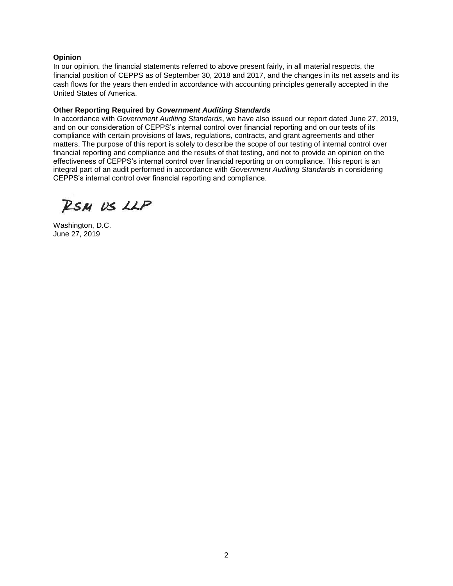# **Opinion**

In our opinion, the financial statements referred to above present fairly, in all material respects, the financial position of CEPPS as of September 30, 2018 and 2017, and the changes in its net assets and its cash flows for the years then ended in accordance with accounting principles generally accepted in the United States of America.

# **Other Reporting Required by** *Government Auditing Standards*

In accordance with *Government Auditing Standards*, we have also issued our report dated June 27, 2019, and on our consideration of CEPPS's internal control over financial reporting and on our tests of its compliance with certain provisions of laws, regulations, contracts, and grant agreements and other matters. The purpose of this report is solely to describe the scope of our testing of internal control over financial reporting and compliance and the results of that testing, and not to provide an opinion on the effectiveness of CEPPS's internal control over financial reporting or on compliance. This report is an integral part of an audit performed in accordance with *Government Auditing Standards* in considering CEPPS's internal control over financial reporting and compliance.

RSM US LLP

Washington, D.C. June 27, 2019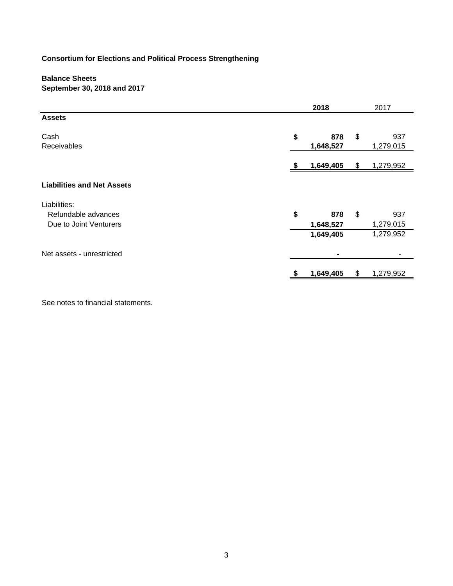# **Balance Sheets**

**September 30, 2018 and 2017**

|                                                               | 2018                   |    | 2017             |
|---------------------------------------------------------------|------------------------|----|------------------|
| <b>Assets</b>                                                 |                        |    |                  |
| Cash<br><b>Receivables</b>                                    | \$<br>878<br>1,648,527 | \$ | 937<br>1,279,015 |
|                                                               | 1,649,405              | \$ | 1,279,952        |
| <b>Liabilities and Net Assets</b>                             |                        |    |                  |
| Liabilities:<br>Refundable advances<br>Due to Joint Venturers | \$<br>878<br>1,648,527 | \$ | 937<br>1,279,015 |
|                                                               | 1,649,405              |    | 1,279,952        |
| Net assets - unrestricted                                     |                        |    |                  |
|                                                               | 1,649,405              | S  | 1,279,952        |
|                                                               |                        |    |                  |

See notes to financial statements.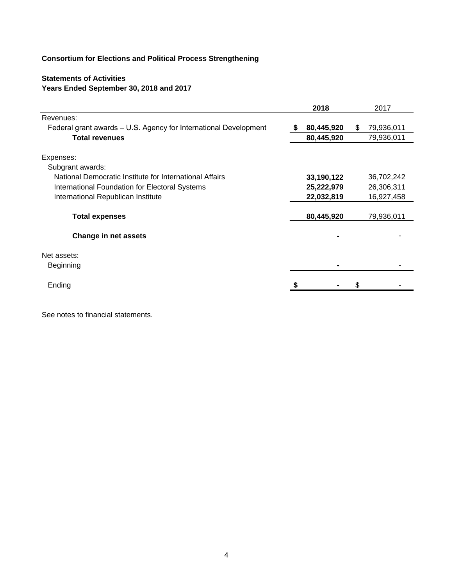# **Statements of Activities**

**Years Ended September 30, 2018 and 2017**

|                                                                  | 2018       | 2017             |
|------------------------------------------------------------------|------------|------------------|
| Revenues:                                                        |            |                  |
| Federal grant awards - U.S. Agency for International Development | 80,445,920 | \$<br>79,936,011 |
| <b>Total revenues</b>                                            | 80,445,920 | 79,936,011       |
| Expenses:                                                        |            |                  |
| Subgrant awards:                                                 |            |                  |
| National Democratic Institute for International Affairs          | 33,190,122 | 36,702,242       |
| International Foundation for Electoral Systems                   | 25,222,979 | 26,306,311       |
| International Republican Institute                               | 22,032,819 | 16,927,458       |
| <b>Total expenses</b>                                            | 80,445,920 | 79,936,011       |
| <b>Change in net assets</b>                                      |            |                  |
| Net assets:                                                      |            |                  |
| Beginning                                                        |            |                  |
| Ending                                                           |            |                  |
|                                                                  |            |                  |

See notes to financial statements.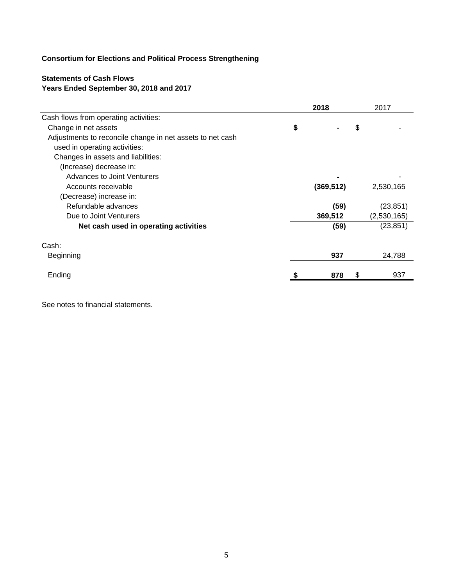# **Statements of Cash Flows Years Ended September 30, 2018 and 2017**

|                                                           |   | 2018       | 2017        |
|-----------------------------------------------------------|---|------------|-------------|
| Cash flows from operating activities:                     |   |            |             |
| Change in net assets                                      | S |            | \$          |
| Adjustments to reconcile change in net assets to net cash |   |            |             |
| used in operating activities:                             |   |            |             |
| Changes in assets and liabilities:                        |   |            |             |
| (Increase) decrease in:                                   |   |            |             |
| Advances to Joint Venturers                               |   |            |             |
| Accounts receivable                                       |   | (369, 512) | 2,530,165   |
| (Decrease) increase in:                                   |   |            |             |
| Refundable advances                                       |   | (59)       | (23, 851)   |
| Due to Joint Venturers                                    |   | 369,512    | (2,530,165) |
| Net cash used in operating activities                     |   | (59)       | (23, 851)   |
| Cash:                                                     |   |            |             |
| Beginning                                                 |   | 937        | 24,788      |
| Ending                                                    |   | 878        | 937         |
|                                                           |   |            |             |

See notes to financial statements.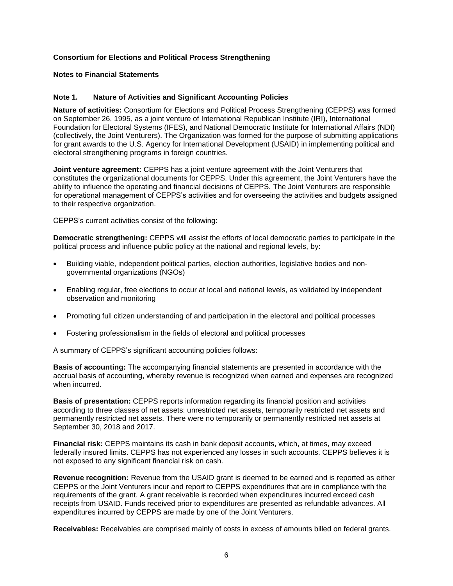# **Notes to Financial Statements**

# **Note 1. Nature of Activities and Significant Accounting Policies**

**Nature of activities:** Consortium for Elections and Political Process Strengthening (CEPPS) was formed on September 26, 1995*,* as a joint venture of International Republican Institute (IRI), International Foundation for Electoral Systems (IFES), and National Democratic Institute for International Affairs (NDI) (collectively, the Joint Venturers). The Organization was formed for the purpose of submitting applications for grant awards to the U.S. Agency for International Development (USAID) in implementing political and electoral strengthening programs in foreign countries.

**Joint venture agreement:** CEPPS has a joint venture agreement with the Joint Venturers that constitutes the organizational documents for CEPPS. Under this agreement, the Joint Venturers have the ability to influence the operating and financial decisions of CEPPS. The Joint Venturers are responsible for operational management of CEPPS's activities and for overseeing the activities and budgets assigned to their respective organization.

CEPPS's current activities consist of the following:

**Democratic strengthening:** CEPPS will assist the efforts of local democratic parties to participate in the political process and influence public policy at the national and regional levels, by:

- Building viable, independent political parties, election authorities, legislative bodies and nongovernmental organizations (NGOs)
- Enabling regular, free elections to occur at local and national levels, as validated by independent observation and monitoring
- Promoting full citizen understanding of and participation in the electoral and political processes
- Fostering professionalism in the fields of electoral and political processes

A summary of CEPPS's significant accounting policies follows:

**Basis of accounting:** The accompanying financial statements are presented in accordance with the accrual basis of accounting, whereby revenue is recognized when earned and expenses are recognized when incurred.

**Basis of presentation:** CEPPS reports information regarding its financial position and activities according to three classes of net assets: unrestricted net assets, temporarily restricted net assets and permanently restricted net assets. There were no temporarily or permanently restricted net assets at September 30, 2018 and 2017.

**Financial risk:** CEPPS maintains its cash in bank deposit accounts, which, at times, may exceed federally insured limits. CEPPS has not experienced any losses in such accounts. CEPPS believes it is not exposed to any significant financial risk on cash.

**Revenue recognition:** Revenue from the USAID grant is deemed to be earned and is reported as either CEPPS or the Joint Venturers incur and report to CEPPS expenditures that are in compliance with the requirements of the grant. A grant receivable is recorded when expenditures incurred exceed cash receipts from USAID. Funds received prior to expenditures are presented as refundable advances. All expenditures incurred by CEPPS are made by one of the Joint Venturers.

**Receivables:** Receivables are comprised mainly of costs in excess of amounts billed on federal grants.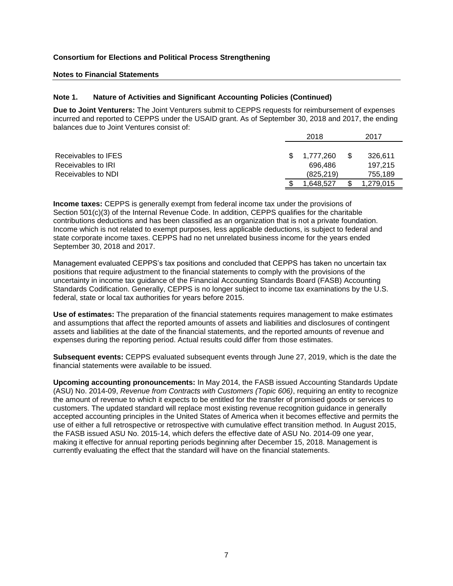### **Notes to Financial Statements**

# **Note 1. Nature of Activities and Significant Accounting Policies (Continued)**

**Due to Joint Venturers:** The Joint Venturers submit to CEPPS requests for reimbursement of expenses incurred and reported to CEPPS under the USAID grant. As of September 30, 2018 and 2017, the ending balances due to Joint Ventures consist of:

|                            |     | 2018       | 2017      |
|----------------------------|-----|------------|-----------|
|                            |     |            |           |
| Receivables to <b>IFES</b> | \$. | 1,777,260  | 326,611   |
| Receivables to <b>IRI</b>  |     | 696.486    | 197.215   |
| Receivables to NDI         |     | (825, 219) | 755,189   |
|                            |     | 648.527.ا  | 1,279,015 |

**Income taxes:** CEPPS is generally exempt from federal income tax under the provisions of Section 501(c)(3) of the Internal Revenue Code. In addition, CEPPS qualifies for the charitable contributions deductions and has been classified as an organization that is not a private foundation. Income which is not related to exempt purposes, less applicable deductions, is subject to federal and state corporate income taxes. CEPPS had no net unrelated business income for the years ended September 30, 2018 and 2017.

Management evaluated CEPPS's tax positions and concluded that CEPPS has taken no uncertain tax positions that require adjustment to the financial statements to comply with the provisions of the uncertainty in income tax guidance of the Financial Accounting Standards Board (FASB) Accounting Standards Codification. Generally, CEPPS is no longer subject to income tax examinations by the U.S. federal, state or local tax authorities for years before 2015.

**Use of estimates:** The preparation of the financial statements requires management to make estimates and assumptions that affect the reported amounts of assets and liabilities and disclosures of contingent assets and liabilities at the date of the financial statements, and the reported amounts of revenue and expenses during the reporting period. Actual results could differ from those estimates.

**Subsequent events:** CEPPS evaluated subsequent events through June 27, 2019, which is the date the financial statements were available to be issued.

**Upcoming accounting pronouncements:** In May 2014, the FASB issued Accounting Standards Update (ASU) No. 2014-09, *Revenue from Contracts with Customers (Topic 606)*, requiring an entity to recognize the amount of revenue to which it expects to be entitled for the transfer of promised goods or services to customers. The updated standard will replace most existing revenue recognition guidance in generally accepted accounting principles in the United States of America when it becomes effective and permits the use of either a full retrospective or retrospective with cumulative effect transition method. In August 2015, the FASB issued ASU No. 2015-14, which defers the effective date of ASU No. 2014-09 one year, making it effective for annual reporting periods beginning after December 15, 2018. Management is currently evaluating the effect that the standard will have on the financial statements.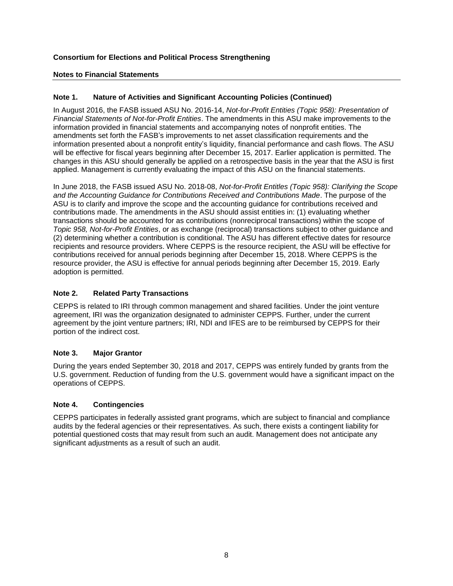# **Notes to Financial Statements**

# **Note 1. Nature of Activities and Significant Accounting Policies (Continued)**

In August 2016, the FASB issued ASU No. 2016-14, *Not-for-Profit Entities (Topic 958): Presentation of Financial Statements of Not-for-Profit Entities*. The amendments in this ASU make improvements to the information provided in financial statements and accompanying notes of nonprofit entities. The amendments set forth the FASB's improvements to net asset classification requirements and the information presented about a nonprofit entity's liquidity, financial performance and cash flows. The ASU will be effective for fiscal years beginning after December 15, 2017. Earlier application is permitted. The changes in this ASU should generally be applied on a retrospective basis in the year that the ASU is first applied. Management is currently evaluating the impact of this ASU on the financial statements.

In June 2018, the FASB issued ASU No. 2018-08, *Not-for-Profit Entitles (Topic 958): Clarifying the Scope and the Accounting Guidance for Contributions Received and Contributions Made*. The purpose of the ASU is to clarify and improve the scope and the accounting guidance for contributions received and contributions made. The amendments in the ASU should assist entities in: (1) evaluating whether transactions should be accounted for as contributions (nonreciprocal transactions) within the scope of *Topic 958, Not-for-Profit Entities*, or as exchange (reciprocal) transactions subject to other guidance and (2) determining whether a contribution is conditional. The ASU has different effective dates for resource recipients and resource providers. Where CEPPS is the resource recipient, the ASU will be effective for contributions received for annual periods beginning after December 15, 2018. Where CEPPS is the resource provider, the ASU is effective for annual periods beginning after December 15, 2019. Early adoption is permitted.

# **Note 2. Related Party Transactions**

CEPPS is related to IRI through common management and shared facilities. Under the joint venture agreement, IRI was the organization designated to administer CEPPS. Further, under the current agreement by the joint venture partners; IRI, NDI and IFES are to be reimbursed by CEPPS for their portion of the indirect cost.

# **Note 3. Major Grantor**

During the years ended September 30, 2018 and 2017, CEPPS was entirely funded by grants from the U.S. government. Reduction of funding from the U.S. government would have a significant impact on the operations of CEPPS.

# **Note 4. Contingencies**

CEPPS participates in federally assisted grant programs, which are subject to financial and compliance audits by the federal agencies or their representatives. As such, there exists a contingent liability for potential questioned costs that may result from such an audit. Management does not anticipate any significant adjustments as a result of such an audit.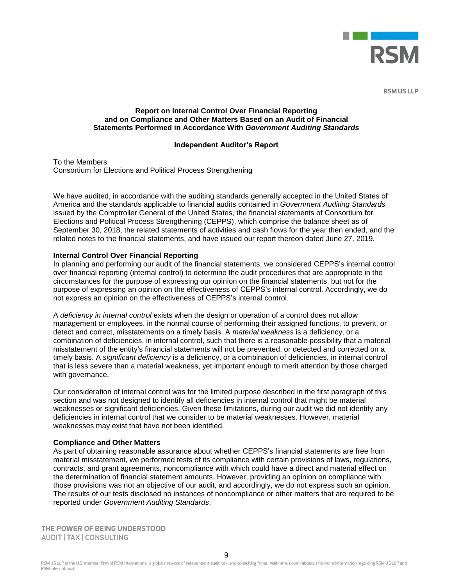

**RSM US LLP** 

# **Report on Internal Control Over Financial Reporting and on Compliance and Other Matters Based on an Audit of Financial Statements Performed in Accordance With** *Government Auditing Standards*

### **Independent Auditor's Report**

To the Members Consortium for Elections and Political Process Strengthening

We have audited, in accordance with the auditing standards generally accepted in the United States of America and the standards applicable to financial audits contained in *Government Auditing Standards*  issued by the Comptroller General of the United States, the financial statements of Consortium for Elections and Political Process Strengthening (CEPPS), which comprise the balance sheet as of September 30, 2018, the related statements of activities and cash flows for the year then ended, and the related notes to the financial statements, and have issued our report thereon dated June 27, 2019.

### **Internal Control Over Financial Reporting**

In planning and performing our audit of the financial statements, we considered CEPPS's internal control over financial reporting (internal control) to determine the audit procedures that are appropriate in the circumstances for the purpose of expressing our opinion on the financial statements, but not for the purpose of expressing an opinion on the effectiveness of CEPPS's internal control. Accordingly, we do not express an opinion on the effectiveness of CEPPS's internal control.

A *deficiency in internal control* exists when the design or operation of a control does not allow management or employees, in the normal course of performing their assigned functions, to prevent, or detect and correct, misstatements on a timely basis. A *material weakness* is a deficiency, or a combination of deficiencies, in internal control, such that there is a reasonable possibility that a material misstatement of the entity's financial statements will not be prevented, or detected and corrected on a timely basis. A *significant deficiency* is a deficiency, or a combination of deficiencies, in internal control that is less severe than a material weakness, yet important enough to merit attention by those charged with governance.

Our consideration of internal control was for the limited purpose described in the first paragraph of this section and was not designed to identify all deficiencies in internal control that might be material weaknesses or significant deficiencies. Given these limitations, during our audit we did not identify any deficiencies in internal control that we consider to be material weaknesses. However, material weaknesses may exist that have not been identified.

### **Compliance and Other Matters**

As part of obtaining reasonable assurance about whether CEPPS's financial statements are free from material misstatement, we performed tests of its compliance with certain provisions of laws, regulations, contracts, and grant agreements, noncompliance with which could have a direct and material effect on the determination of financial statement amounts. However, providing an opinion on compliance with those provisions was not an objective of our audit, and accordingly, we do not express such an opinion. The results of our tests disclosed no instances of noncompliance or other matters that are required to be reported under *Government Auditing Standards*.

THE POWER OF BEING UNDERSTOOD AUDIT | TAX | CONSULTING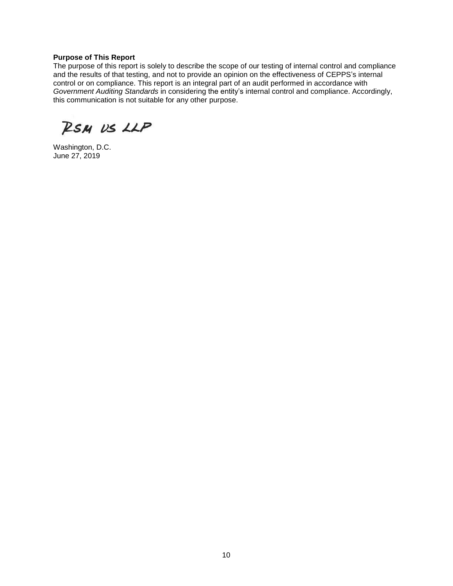# **Purpose of This Report**

The purpose of this report is solely to describe the scope of our testing of internal control and compliance and the results of that testing, and not to provide an opinion on the effectiveness of CEPPS's internal control or on compliance. This report is an integral part of an audit performed in accordance with *Government Auditing Standards* in considering the entity's internal control and compliance. Accordingly, this communication is not suitable for any other purpose.

RSM US LLP

Washington, D.C. June 27, 2019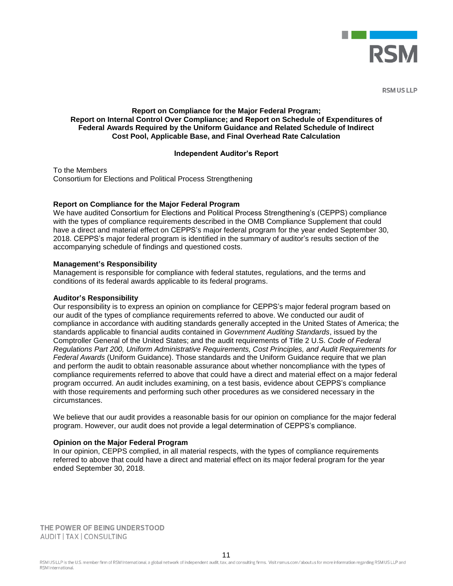

**RSM US LLP** 

# **Report on Compliance for the Major Federal Program; Report on Internal Control Over Compliance; and Report on Schedule of Expenditures of Federal Awards Required by the Uniform Guidance and Related Schedule of Indirect Cost Pool, Applicable Base, and Final Overhead Rate Calculation**

### **Independent Auditor's Report**

To the Members Consortium for Elections and Political Process Strengthening

### **Report on Compliance for the Major Federal Program**

We have audited Consortium for Elections and Political Process Strengthening's (CEPPS) compliance with the types of compliance requirements described in the OMB Compliance Supplement that could have a direct and material effect on CEPPS's major federal program for the year ended September 30, 2018. CEPPS's major federal program is identified in the summary of auditor's results section of the accompanying schedule of findings and questioned costs.

### **Management's Responsibility**

Management is responsible for compliance with federal statutes, regulations, and the terms and conditions of its federal awards applicable to its federal programs.

### **Auditor's Responsibility**

Our responsibility is to express an opinion on compliance for CEPPS's major federal program based on our audit of the types of compliance requirements referred to above. We conducted our audit of compliance in accordance with auditing standards generally accepted in the United States of America; the standards applicable to financial audits contained in *Government Auditing Standards*, issued by the Comptroller General of the United States; and the audit requirements of Title 2 U.S. *Code of Federal Regulations Part 200, Uniform Administrative Requirements, Cost Principles, and Audit Requirements for Federal Awards* (Uniform Guidance). Those standards and the Uniform Guidance require that we plan and perform the audit to obtain reasonable assurance about whether noncompliance with the types of compliance requirements referred to above that could have a direct and material effect on a major federal program occurred. An audit includes examining, on a test basis, evidence about CEPPS's compliance with those requirements and performing such other procedures as we considered necessary in the circumstances.

We believe that our audit provides a reasonable basis for our opinion on compliance for the major federal program. However, our audit does not provide a legal determination of CEPPS's compliance.

### **Opinion on the Major Federal Program**

In our opinion, CEPPS complied, in all material respects, with the types of compliance requirements referred to above that could have a direct and material effect on its major federal program for the year ended September 30, 2018.

THE POWER OF BEING UNDERSTOOD AUDIT | TAX | CONSULTING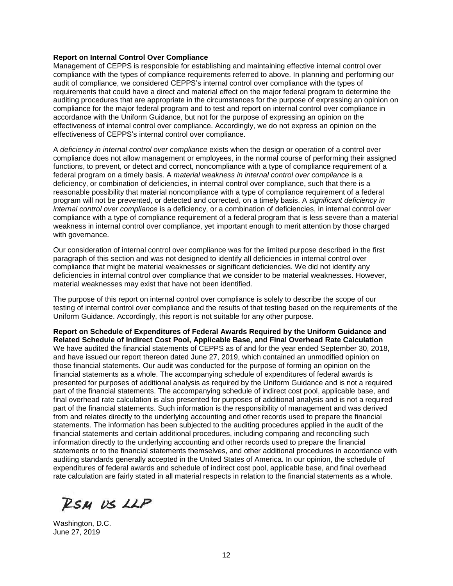### **Report on Internal Control Over Compliance**

Management of CEPPS is responsible for establishing and maintaining effective internal control over compliance with the types of compliance requirements referred to above. In planning and performing our audit of compliance, we considered CEPPS's internal control over compliance with the types of requirements that could have a direct and material effect on the major federal program to determine the auditing procedures that are appropriate in the circumstances for the purpose of expressing an opinion on compliance for the major federal program and to test and report on internal control over compliance in accordance with the Uniform Guidance, but not for the purpose of expressing an opinion on the effectiveness of internal control over compliance. Accordingly, we do not express an opinion on the effectiveness of CEPPS's internal control over compliance.

A *deficiency in internal control over compliance* exists when the design or operation of a control over compliance does not allow management or employees, in the normal course of performing their assigned functions, to prevent, or detect and correct, noncompliance with a type of compliance requirement of a federal program on a timely basis. A *material weakness in internal control over compliance* is a deficiency, or combination of deficiencies, in internal control over compliance, such that there is a reasonable possibility that material noncompliance with a type of compliance requirement of a federal program will not be prevented, or detected and corrected, on a timely basis. A *significant deficiency in internal control over compliance* is a deficiency, or a combination of deficiencies, in internal control over compliance with a type of compliance requirement of a federal program that is less severe than a material weakness in internal control over compliance, yet important enough to merit attention by those charged with governance.

Our consideration of internal control over compliance was for the limited purpose described in the first paragraph of this section and was not designed to identify all deficiencies in internal control over compliance that might be material weaknesses or significant deficiencies. We did not identify any deficiencies in internal control over compliance that we consider to be material weaknesses. However, material weaknesses may exist that have not been identified.

The purpose of this report on internal control over compliance is solely to describe the scope of our testing of internal control over compliance and the results of that testing based on the requirements of the Uniform Guidance. Accordingly, this report is not suitable for any other purpose.

**Report on Schedule of Expenditures of Federal Awards Required by the Uniform Guidance and Related Schedule of Indirect Cost Pool, Applicable Base, and Final Overhead Rate Calculation** We have audited the financial statements of CEPPS as of and for the year ended September 30, 2018, and have issued our report thereon dated June 27, 2019, which contained an unmodified opinion on those financial statements. Our audit was conducted for the purpose of forming an opinion on the financial statements as a whole. The accompanying schedule of expenditures of federal awards is presented for purposes of additional analysis as required by the Uniform Guidance and is not a required part of the financial statements. The accompanying schedule of indirect cost pool, applicable base, and final overhead rate calculation is also presented for purposes of additional analysis and is not a required part of the financial statements. Such information is the responsibility of management and was derived from and relates directly to the underlying accounting and other records used to prepare the financial statements. The information has been subjected to the auditing procedures applied in the audit of the financial statements and certain additional procedures, including comparing and reconciling such information directly to the underlying accounting and other records used to prepare the financial statements or to the financial statements themselves, and other additional procedures in accordance with auditing standards generally accepted in the United States of America. In our opinion, the schedule of expenditures of federal awards and schedule of indirect cost pool, applicable base, and final overhead rate calculation are fairly stated in all material respects in relation to the financial statements as a whole.

RSM US LLP

Washington, D.C. June 27, 2019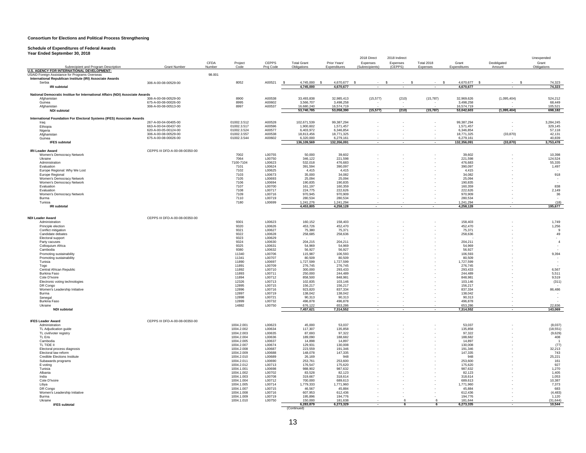|                                                                                           |                                              |             |                            |                   |                          |                         | 2018 Direct     | 2018 Indirect |            |                         |             | Unexpended                        |
|-------------------------------------------------------------------------------------------|----------------------------------------------|-------------|----------------------------|-------------------|--------------------------|-------------------------|-----------------|---------------|------------|-------------------------|-------------|-----------------------------------|
|                                                                                           |                                              | <b>CFDA</b> | Project                    | <b>CEPPS</b>      | <b>Total Grant</b>       | Prior Years'            | Expenses        | Expenses      | Total 2018 | Grant                   | Deobligated | Grant                             |
| Subrecipient and Program Description<br><b>U.S. AGENCY FOR INTERNATIONAL DEVELOPMENT:</b> | <b>Grant Number</b>                          | Number      | Code                       | Proj Code         | Obligations              | Expenditures            | (Subrecipients) | (CEPPS)       | Expenses   | Expenditures            | Amount      | Obligations                       |
| USAID Foreign Assistance for Programs Overseas                                            |                                              | 98.001      |                            |                   |                          |                         |                 |               |            |                         |             |                                   |
| International Republican Institute (IRI) Associate Awards                                 |                                              |             |                            |                   |                          |                         |                 |               |            |                         |             |                                   |
| Serbia<br>IRI subtotal                                                                    | 306-A-00-08-00529-00                         |             | 8052                       | A00521            | 4.745.000<br>4.745.000   | 4.670.677<br>4.670.677  |                 |               |            | 4.670.677<br>4.670.677  |             | 74.323<br>74.323                  |
|                                                                                           |                                              |             |                            |                   |                          |                         |                 |               |            |                         |             |                                   |
| National Democratic Institue for International Affairs (NDI) Associate Awards             |                                              |             |                            |                   |                          |                         |                 |               |            |                         |             |                                   |
| Afghanistan                                                                               | 306-A-00-08-00529-00                         |             | 8900                       | A00538            | 33,493,838               | 32,985,413              | (15, 577)       | (210)         | (15, 787)  | 32,969,626              | (1,095,404) | 524,212                           |
| Guinea<br>Afghanistan                                                                     | 675-A-00-08-00026-00<br>306-A-00-08-00513-00 |             | 8995<br>8997               | A00602<br>A00537  | 3,566,707<br>16,680,240  | 3,498,258<br>16,574,719 |                 |               |            | 3,498,258<br>16,574,719 |             | 68,449<br>105,521                 |
| <b>NDI</b> subtotal                                                                       |                                              |             |                            |                   | 53,740,785               | 53,058,390              | (15, 577)       | (210)         | (15, 787)  | 53,042,603              | (1,095,404) | 698,182                           |
|                                                                                           |                                              |             |                            |                   |                          |                         |                 |               |            |                         |             |                                   |
| International Foundation For Electoral Systems (IFES) Associate Awards                    |                                              |             |                            |                   |                          |                         |                 |               |            |                         |             |                                   |
| Iraq<br>Ethiopia                                                                          | 267-A-00-04-00405-00<br>663-A-00-04-00437-00 |             | 01002.3.512<br>01002.3.517 | A00528<br>A00596  | 102,671,539<br>1,900,602 | 99,387,294<br>1,571,457 |                 |               |            | 99,387,294<br>1,571,457 |             | 3,284,245<br>329,145              |
| Nigeria                                                                                   | 620-A-00-05-00124-00                         |             | 01002.3.524                | A00577            | 6.403.972                | 6.346.854               |                 |               |            | 6,346,854               |             | 57,118                            |
| Afghanistan                                                                               | 306-A-00-08-00529-00                         |             | 01002.3.557                | A00538            | 18,813,456               | 18,771,325              |                 |               |            | 18,771,325              | (33, 870)   | 42,131                            |
| Guinea                                                                                    | 675-A-00-08-00026-00                         |             | 01002.3.544                | A00602            | 6,320,000<br>136,109,569 | 6,279,161               |                 |               |            | 6,279,161               |             | 40,839                            |
| <b>IFES</b> subtotal                                                                      |                                              |             |                            |                   |                          | 132,356,091             |                 |               |            | 132,356,091             | (33, 870)   | 3,753,478                         |
| <b>IRI Leader Award</b>                                                                   | CEPPS III DFD-A-00-08-00350-00               |             |                            |                   |                          |                         |                 |               |            |                         |             |                                   |
| Women's Democracy Network                                                                 |                                              |             | 7002                       | L00755            | 50,000                   | 39,602                  |                 |               |            | 39,602                  |             | 10,398                            |
| Ukraine                                                                                   |                                              |             | 7064                       | L00750            | 346,122                  | 221,598                 |                 |               |            | 221,598                 |             | 124,524                           |
| Administration<br>Evaluation                                                              |                                              |             | 7100-7104<br>7101          | L00623<br>L00624  | 532,018<br>391,594       | 476,683<br>390,097      |                 |               |            | 476,683<br>390,097      |             | 55,335<br>1,497                   |
| Europe Regional: Why We Lost                                                              |                                              |             | 7102                       | 1.00625           | 4.415                    | 4.415                   |                 |               |            | 4.415                   |             |                                   |
| Europe Regional                                                                           |                                              |             | 7103                       | L00673            | 35,000                   | 34,082                  |                 |               |            | 34,082                  |             | 918                               |
| Women's Democracy Network                                                                 |                                              |             | 7105                       | L00693            | 25,094                   | 25,094                  |                 |               |            | 25,094                  |             | $\sim$                            |
| Women's Democracy Network                                                                 |                                              |             | 7106                       | 100694            | 190.835                  | 190,835                 |                 |               |            | 190.835                 |             | $\sim$                            |
| Evaluation<br>Evaluation                                                                  |                                              |             | 7107<br>7108               | L00700<br>L00717  | 161,197<br>224,775       | 160,359<br>222,626      |                 |               |            | 160,359<br>222,626      |             | 838<br>2,149                      |
| Women's Democracy Network                                                                 |                                              |             | 7109                       | 100716            | 970,945                  | 970,909                 |                 |               |            | 970,909                 |             | 36                                |
| Burma                                                                                     |                                              |             | 7110                       | L00719            | 280,534                  | 280,534                 |                 |               |            | 280,534                 |             |                                   |
| Tunisia                                                                                   |                                              |             | 7180                       | L00699            | 1.241.276                | 1.241.294               |                 |               |            | 1.241.294               |             | (18)<br>195,677                   |
| <b>IRI</b> subtotal                                                                       |                                              |             |                            |                   | 4.453.805                | 4.258.128               |                 |               |            | 4.258.128               |             |                                   |
|                                                                                           |                                              |             |                            |                   |                          |                         |                 |               |            |                         |             |                                   |
| <b>NDI Leader Award</b>                                                                   | CEPPS III DFD-A-00-08-00350-00               |             |                            |                   |                          |                         |                 |               |            |                         |             |                                   |
| Administration                                                                            |                                              |             | 9301<br>9320               | L00623<br>L00626  | 160,152<br>453,726       | 158,403                 |                 |               |            | 158,403<br>452,470      |             | 1,749                             |
| Principle election<br>Conflict mitigation                                                 |                                              |             | 9321                       | L00627            | 75,380                   | 452,470<br>75,371       |                 |               |            | 75,371                  |             | 1,256<br>9                        |
| Candidate debates                                                                         |                                              |             | 9322                       | L00628            | 258,685                  | 258,636                 |                 |               |            | 258,636                 |             | 49                                |
| Electoral support                                                                         |                                              |             | 9323                       | L00629            |                          |                         |                 |               |            |                         |             | $\sim$                            |
| Party cacuses                                                                             |                                              |             | 9324                       | L00630            | 204,215                  | 204,211                 |                 |               |            | 204,211                 |             | $\overline{4}$                    |
| Colloquium Africa<br>Cambodia                                                             |                                              |             | 9325<br>9380               | L00631<br>1.00632 | 54,969<br>56.927         | 54,969<br>56.927        |                 |               |            | 54,969<br>56.927        |             | $\sim$                            |
| Promoting sustainability                                                                  |                                              |             | 11340                      | L00706            | 115,987                  | 106,593                 |                 |               |            | 106,593                 |             | 9,394                             |
| Promoting sustainability                                                                  |                                              |             | 11341                      | L00707            | 80,509                   | 80,509                  |                 |               |            | 80,509                  |             |                                   |
| Tunisia                                                                                   |                                              |             | 11890                      | 1.00697           | 1.727.599                | 1,727,599               |                 |               |            | 1.727.599               |             | $\overline{\phantom{a}}$          |
| Togo<br>Central African Republic                                                          |                                              |             | 11891<br>11892             | L00709<br>L00710  | 276,745<br>300,000       | 276,745<br>293,433      |                 |               |            | 276,745<br>293,433      |             | $\overline{\phantom{a}}$<br>6,567 |
| <b>Burkina Faso</b>                                                                       |                                              |             | 11893                      | 100711            | 250,000                  | 244.489                 |                 |               |            | 244.489                 |             | 5.511                             |
| Cote D'Ivoire                                                                             |                                              |             | 11894                      | L00712            | 858,500                  | 848,981                 |                 |               |            | 848,981                 |             | 9,519                             |
| Electronic voting technologies                                                            |                                              |             | 12326                      | L00713            | 102.835                  | 103.146                 |                 |               |            | 103.146                 |             | (311)                             |
| DR Congo<br>Women's Leadership Initiative                                                 |                                              |             | 12895<br>12896             | 100715<br>L00716  | 156,217<br>923,820       | 156,217<br>837,334      |                 |               |            | 156.217<br>837,334      |             | 86,486                            |
| Burma                                                                                     |                                              |             | 12897                      | L00719            | 138,042                  | 138,042                 |                 |               |            | 138,042                 |             |                                   |
| Senegal                                                                                   |                                              |             | 12898                      | L00721            | 90,313                   | 90,313                  |                 |               |            | 90,313                  |             |                                   |
| <b>Burkina Faso</b>                                                                       |                                              |             | 12899                      | L00732            | 496,878                  | 496,878                 |                 |               |            | 496,878                 |             |                                   |
| Ukraine<br><b>NDI subtotal</b>                                                            |                                              |             | 14882                      | L00750            | 676,122<br>7.457.621     | 653,286<br>7,314,552    |                 |               |            | 653,286<br>7,314,552    |             | 22,836<br>143,069                 |
|                                                                                           |                                              |             |                            |                   |                          |                         |                 |               |            |                         |             |                                   |
|                                                                                           |                                              |             |                            |                   |                          |                         |                 |               |            |                         |             |                                   |
| <b>IFES Leader Award</b>                                                                  | CEPPS III DFD-A-00-08-00350-00               |             |                            |                   |                          |                         |                 |               |            |                         |             |                                   |
| Administration<br>TL Adjudication guide                                                   |                                              |             | 1004.2.001<br>1004.2.002   | L00623<br>1.00634 | 45,000<br>117,307        | 53,037<br>135,858       |                 |               |            | 53,037<br>135,858       |             | (8,037)<br>(18.551)               |
| TL civil/voter registry                                                                   |                                              |             | 1004.2.003                 | L00635            | 87.693                   | 97.322                  |                 |               |            | 97.322                  |             | (9,629)                           |
| TL Eris                                                                                   |                                              |             | 1004.2.004                 | L00636            | 189,090                  | 188,682                 |                 |               |            | 188,682                 |             | 408                               |
| Cambodia                                                                                  |                                              |             | 1004.2.005                 | 1.00637           | 14.898                   | 14.897                  |                 |               |            | 14.897                  |             | $\overline{1}$                    |
| TL TIDE II<br>Electoral process diagnosis                                                 |                                              |             | 1004.2.007<br>1004.2.008   | L00674<br>L00687  | 129,931<br>223,559       | 130,008<br>191,346      |                 |               |            | 130,008<br>191,346      |             | (77)<br>32,213                    |
| Electoral law reform                                                                      |                                              |             | 1004.2.009                 | L00688            | 148,078                  | 147,335                 |                 |               |            | 147,335                 |             | 743                               |
| <b>Credible Elections Institute</b>                                                       |                                              |             | 1004.2.010                 | L00689            | 26,169                   | 948                     |                 |               |            | 948                     |             | 25,221                            |
| Subawards programs                                                                        |                                              |             | 1004.2.011                 | L00690            | 253,761                  | 253,600                 |                 |               |            | 253,600                 |             | 161                               |
| F-voting<br>Tunisia                                                                       |                                              |             | 1004.2.012<br>1004.1.001   | 100713<br>L00698  | 176,547<br>988,902       | 175,620<br>987,632      |                 |               |            | 175,620<br>987,632      |             | 927<br>1,270                      |
| Albania                                                                                   |                                              |             | 1004.1.002                 | L00702            | 83,528                   | 82,123                  |                 |               |            | 82,123                  |             | 1,405                             |
| India                                                                                     |                                              |             | 1004.1.003                 | L00708            | 319,667                  | 318,614                 |                 |               |            | 318,614                 |             | 1,053                             |
| Cote D'Ivoire                                                                             |                                              |             | 1004.1.004                 | L00712            | 700,000                  | 689,613                 |                 |               |            | 689,613                 |             | 10,387                            |
| Libva                                                                                     |                                              |             | 1004.1.005                 | L00714            | 1,779,333                | 1,771,960               |                 |               |            | 1,771,960               |             | 7,373                             |
| DR Congo<br>Women's Leadership Initiative                                                 |                                              |             | 1004.1.007<br>1004.1.008   | L00715<br>L00716  | 46,567<br>607,953        | 45,884<br>612,436       |                 |               |            | 45.884<br>612,436       |             | 683<br>(4, 483)                   |
| Burma                                                                                     |                                              |             | 1004.1.009                 | L00719            | 195,896                  | 194,776                 |                 |               |            | 194,776                 |             | 1,120                             |
| Ukraine                                                                                   |                                              |             | 1004.1.010                 | 100750            | 150,000                  | 181.638                 |                 | -6            | $\epsilon$ | 181.644                 |             | (31, 644)                         |
| <b>IFES</b> subtotal                                                                      |                                              |             |                            |                   | 6,283,879                | 6,273,329               |                 | - 6           |            | 6.273.335               |             | 10.544                            |
|                                                                                           |                                              |             |                            |                   | (Continued)              |                         |                 |               |            |                         |             |                                   |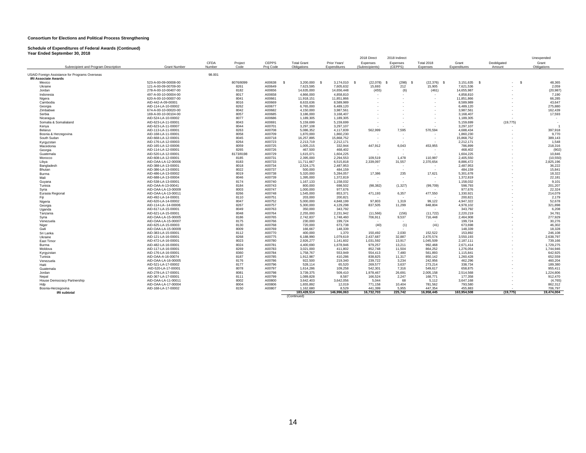|                                                                               |                      |                       |                 |                           |      |                                   |      |                              | 2018 Direct                 |      | 2018 Indirect            |                          |                       |                       | Unexpended           |
|-------------------------------------------------------------------------------|----------------------|-----------------------|-----------------|---------------------------|------|-----------------------------------|------|------------------------------|-----------------------------|------|--------------------------|--------------------------|-----------------------|-----------------------|----------------------|
| Subrecipient and Program Description                                          | <b>Grant Number</b>  | <b>CFDA</b><br>Number | Project<br>Code | <b>CEPPS</b><br>Proi Code |      | <b>Total Grant</b><br>Obligations |      | Prior Years'<br>Expenditures | Expenses<br>(Subrecipients) |      | Expenses<br>(CEPPS)      | Total 2018<br>Expenses   | Grant<br>Expenditures | Deobligated<br>Amount | Grant<br>Obligations |
|                                                                               |                      |                       |                 |                           |      |                                   |      |                              |                             |      |                          |                          |                       |                       |                      |
| USAID Foreign Assistance for Programs Overseas<br><b>IRI Associate Awards</b> |                      | 98.001                |                 |                           |      |                                   |      |                              |                             |      |                          |                          |                       |                       |                      |
|                                                                               | 523-A-00-09-00008-00 |                       | 8076/8099       | A00638                    |      | 3.200.000                         | - \$ | 3.174.010 \$                 | (22.078)                    | - \$ | (298)<br>- S             | $(22.376)$ \$            | 3.151.635 S           | s                     | 48.365               |
| Mexico                                                                        |                      |                       |                 |                           | - \$ |                                   |      |                              |                             |      |                          |                          |                       |                       |                      |
| Ukraine                                                                       | 121-A-00-09-00709-00 |                       | 8261            | A00649                    |      | 7,623,595                         |      | 7.605.632                    | 15,693                      |      | 212                      | 15,905                   | 7.621.536             |                       | 2,059                |
| Jordan                                                                        | 278-A-00-10-00407-00 |                       | 8182            | A00656                    |      | 14.635.000                        |      | 14.656.448                   | (455)                       |      | (6)                      | (461)                    | 14.655.987            |                       | (20, 987)            |
| Indonesia                                                                     | 497-A-00-10-00004-00 |                       | 8017            | A00658                    |      | 4.866.000                         |      | 4.858.810                    |                             |      |                          |                          | 4.858.810             |                       | 7,190                |
| Nigera                                                                        | 620-A-00-10-00007-00 |                       | 8041            | A00661                    |      | 11,918,151                        |      | 11,851,866                   |                             |      | - 1                      | $\sim$                   | 11,851,866            |                       | 66,285               |
| Cambodia                                                                      | AID-442-A-09-00001   |                       | 8016            | A00669                    |      | 8,633,636                         |      | 8,589,989                    |                             |      |                          |                          | 8,589,989             |                       | 43,647               |
| Georgia                                                                       | AID-114-LA-10-00002  |                       | 8262            | A00677                    |      | 6,765,000                         |      | 6.489.120                    |                             |      |                          |                          | 6,489,120             |                       | 275,880              |
| Zimbabwe                                                                      | 674-A-00-10-00020-00 |                       | 8042            | A00682                    |      | 4.150.000                         |      | 3.987.561                    |                             |      |                          |                          | 3.987.561             |                       | 162.439              |
| Serbia                                                                        | 169-A-00-10-00104-00 |                       | 8057            | A00685                    |      | 3,186,000                         |      | 3,168,407                    |                             |      |                          |                          | 3,168,407             |                       | 17,593               |
| Nicaragua                                                                     | AID-524-LA-10-00002  |                       | 8077            | A00686                    |      | 1.189.305                         |      | 1.189.305                    |                             |      |                          |                          | 1.189.305             |                       |                      |
| Somalia & Somalialand                                                         | AID-623-LA-11-00001  |                       | 8043            | A00691                    |      | 5.159.699                         |      | 5.159.699                    |                             |      |                          |                          | 5.159.699             | (19, 775)             | $\sim$               |
| Kenya                                                                         | AID-623-LA-11-00007  |                       | 8044            | A00701                    |      | 3.297.108                         |      | 3.297.107                    |                             |      | $\overline{\phantom{a}}$ |                          | 3.297.107             |                       | - 1                  |
| <b>Belarus</b>                                                                | AID-113-LA-11-00001  |                       | 8263            | A00708                    |      | 5,086,352                         |      | 4,117,839                    | 562,999                     |      | 7,595                    | 570,594                  | 4,688,434             |                       | 397,918              |
| Bosnia & Herzegovina                                                          | AID-168-LA-11-00001  |                       | 8058            | A00709                    |      | 1.870.000                         |      | 1.860.230                    |                             |      |                          |                          | 1.860.230             |                       | 9.770                |
| South Sudan                                                                   | AID-668-LA-12-00001  |                       | 8045            | A00718                    |      | 16,257,895                        |      | 15,868,752                   | $\sim$                      |      | $\sim$                   | $\overline{\phantom{a}}$ | 15,868,752            |                       | 389,143              |
| Kyrgyzstan                                                                    | AID-176-LA-12-00003  |                       | 8264            | A00723                    |      | 2,213,719                         |      | 2,212,171                    |                             |      | $\sim$                   | $\overline{\phantom{a}}$ | 2,212,171             |                       | 1.548                |
| Macedonia                                                                     | AID-165-LA-12-00006  |                       | 8059            | A00725                    |      | 1.005.215                         |      | 332.944                      | 447,912                     |      | 6,043                    | 453,955                  | 786,899               |                       | 218,316              |
| Georgia                                                                       | AID-114-LA-12-00001  |                       | 8265            | A00726                    |      | 467.500                           |      | 468,402                      | $\overline{\phantom{a}}$    |      | $\overline{\phantom{a}}$ |                          | 468,402               |                       | (902)                |
| Guatemala                                                                     | AID-520-LA-12-00001  |                       | 8173/8198       | A00729                    |      | 1.615.071                         |      | 1.604.225                    |                             |      |                          |                          | 1.604.225             |                       | 10.846               |
| Morocco                                                                       | AID-608-LA-12-00001  |                       | 8185            | A00731                    |      | 2,395,000                         |      | 2.294.553                    | 109,519                     |      | 1,478                    | 110,997                  | 2,405,550             |                       | (10, 550)            |
| Libva                                                                         | AID-OAA-LA-12-00006  |                       | 8183            | A00733                    |      | 11.711.667                        |      | 6.515.818                    | 2.339.097                   |      | 31.557                   | 2.370.654                | 8.886.472             |                       | 2.825.196            |
| Bangladesh                                                                    | AID-388-LA-13-00001  |                       | 8018            | A00734                    |      | 2.524.175                         |      | 2.487.953                    | $\sim$                      |      | $\sim$                   |                          | 2.487.953             |                       | 36,222               |
| Bhutan                                                                        | AID-386-LA-13-00001  |                       | 8022            | A00737                    |      | 500,000                           |      | 484.159                      | $\overline{\phantom{a}}$    |      | $\sim$                   |                          | 484,159               |                       | 15,841               |
|                                                                               | AID-486-LA-13-00002  |                       | 8019            | A00738                    |      | 5,320,000                         |      | 5,284,057                    | 17,386                      |      | 235                      | 17,621                   | 5,301,678             |                       | 18,322               |
| Burma<br>Mali                                                                 | AID-688-LA-13-00004  |                       | 8046            | A00739                    |      |                                   |      |                              |                             |      | $\sim$                   | $\sim$                   |                       |                       |                      |
|                                                                               |                      |                       | 8174            |                           |      | 1,395,000                         |      | 1.372.819                    |                             |      |                          |                          | 1,372,819             |                       | 22,181               |
| Guyana                                                                        | AID-538-LA-13-00001  |                       |                 | A00740                    |      | 1.167.133                         |      | 1.158.032                    |                             |      |                          |                          | 1.158.032             |                       | 9.101                |
| Tunisia                                                                       | AID-OAA-A-13-00041   |                       | 8184            | A00743                    |      | 800,000                           |      | 698,502                      | (98, 382)                   |      | (1,327)                  | (99, 709)                | 598,793               |                       | 201,207              |
| Syria                                                                         | AID-OAA-LA-13-00009  |                       | 8003            | A00747                    |      | 1.000.000                         |      | 977.676                      |                             |      |                          |                          | 977,676               |                       | 22,324               |
| Eurasia Regional                                                              | AID-OAA-LA-13-00011  |                       | 8266            | A00748                    |      | 1.545.000                         |      | 853.371                      | 471.193                     |      | 6.357                    | 477,550                  | 1.330.921             |                       | 214.079              |
| Fiji                                                                          | AID-492-LA-14-00001  |                       | 8110            | A00751                    |      | 203,000                           |      | 200.821                      | $\sim$                      |      | - 1                      |                          | 200.821               |                       | 2.179                |
| Nigeria                                                                       | AID-620-LA-14-00002  |                       | 8047            | A00752                    |      | 5,000,000                         |      | 4,848,199                    | 97,803                      |      | 1,319                    | 99,122                   | 4,947,322             |                       | 52,678               |
| Georgia                                                                       | AID-114-LA--14-00006 |                       | 8267            | A00757                    |      | 5.300.000                         |      | 4.129.298                    | 837.505                     |      | 11,299                   | 848,804                  | 4.978.102             |                       | 321.898              |
| Uganda                                                                        | AID-617-LA-15-00001  |                       | 8049            | A00763                    |      | 350,000                           |      | 343,792                      |                             |      | $\sim$                   |                          | 343,792               |                       | 6,208                |
| Tanzania                                                                      | AID-621-LA-15-00001  |                       | 8048            | A00764                    |      | 2,255,000                         |      | 2.231.942                    | (11, 566)                   |      | (156)                    | (11, 722)                | 2,220,219             |                       | 34,781               |
| Svria                                                                         | AID-OAA-LA-15-00005  |                       | 8186            | A00765                    |      | 2,742,837                         |      | 1,748,460                    | 706,911                     |      | 9,537                    | 716,448                  | 2,464,908             |                       | 277,929              |
| Venezuela                                                                     | AID-OAA-LA-15-00007  |                       | 8175            | A00766                    |      | 230,000                           |      | 199,724                      | $\overline{\phantom{a}}$    |      | $\sim$                   |                          | 199,724               |                       | 30,276               |
| Niger                                                                         | AID-625-LA-15-00003  |                       | 8130            | A00768                    |      | 720,000                           |      | 673.738                      | (40)                        |      | (1)                      | (41)                     | 673.698               |                       | 46.302               |
| Gwli                                                                          | AID-OAA-LA-15-00009  |                       | 8009            | A00769                    |      | 166,667                           |      | 148,339                      |                             |      |                          |                          | 148,339               |                       | 18,328               |
| Sri Lanka                                                                     | AID-383-LA-15-00001  |                       | 8112            | A00770                    |      | 400,000                           |      | 1,370                        | 150,492                     |      | 2,030                    | 152,522                  | 153,892               |                       | 246,108              |
| Ukraine                                                                       | AID-121-LA-16-00001  |                       | 8268            | A00775                    |      | 6.188.990                         |      | 1.079.619                    | 2.437.687                   |      | 32.887                   | 2.470.574                | 3.550.193             |                       | 2.638.797            |
| East Timor                                                                    | AID-472-LA-16-00001  |                       | 8023            | A00780                    |      | 2,926,277                         |      | 1,141,602                    | 1,031,592                   |      | 13,917                   | 1,045,509                | 2,187,111             |                       | 739,166              |
| Burma                                                                         | AID-482-LA-16-00001  |                       | 8024            | A00781                    |      | 4,400,690                         |      | 1.678.946                    | 979,257                     |      | 13,211                   | 992,468                  | 2.671.414             |                       | 1,729,275            |
| Moldova                                                                       | AID-117-LA-16-00001  |                       | 8269            | A00783                    |      | 3,021,000                         |      | 411,802                      | 852,748                     |      | 11,504                   | 864,252                  | 1,276,054             |                       | 1,744,946            |
| Kyrgyzstan                                                                    | AID-176-LA-16-00001  |                       | 8360            | A00784                    |      | 1.758.767                         |      | 553.949                      | 554,413                     |      | 7.480                    | 561.893                  | 1.115.841             |                       | 642,925              |
| Tunisia                                                                       | AID-OAA-A-16-00074   |                       | 8187            | A00785                    |      | 1.912.987                         |      | 410.286                      | 838.825                     |      | 11.317                   | 850.142                  | 1.260.428             |                       | 652.559              |
| Venezuela                                                                     | AID-OAA-LA-16-00005  |                       | 8176            | A00786                    |      | 922,500                           |      | 219,340                      | 239,722                     |      | 3,234                    | 242,956                  | 462,296               |                       | 460,204              |
| Haiti                                                                         | AID-521-LA-17-00002  |                       | 8177            | A00796                    |      | 528.114                           |      | 65.520                       | 269,577                     |      | 3.637                    | 273.214                  | 338,734               |                       | 189.380              |
| Guatemala                                                                     | AID-520-LA-17-00001  |                       | 8078            | A00797                    |      | 1,614,286                         |      | 109.258                      | 542,301                     |      | 7.316                    | 549.617                  | 658.875               |                       | 955.411              |
|                                                                               |                      |                       |                 |                           |      |                                   |      |                              |                             |      |                          |                          |                       |                       |                      |
| Jordan                                                                        | AID-278-LA-17-00001  |                       | 8081            | A00798                    |      | 3,739,375                         |      | 509,410                      | 1,978,467                   |      | 26,691                   | 2,005,158                | 2,514,568             |                       | 1,224,806            |
| Nepal                                                                         | AID-367-LA-17-00001  |                       | 8111            | A00799                    |      | 1,089,828                         |      | 8,587                        | 166,524                     |      | 2,247                    | 168,771                  | 177,358               |                       | 912,470              |
| <b>House Democracy Partnership</b>                                            | AID-OAA-LA-11-00011  |                       | 8002            | A00800                    |      | 3.642.403                         |      | 3,642,056                    | 5,044                       |      | 68                       | 5,112                    | 3,647,168             |                       | (4,765)              |
| Hdp                                                                           | AID-OAA-LA-17-00004  |                       | 8004            | A00806                    |      | 1,655,892                         |      | 12,019                       | 771,158                     |      | 10,404                   | 781,562                  | 793,580               |                       | 862,312              |
| Bosnia-Herzegovina                                                            | AID-168-LA-17-00002  |                       | 8150            | A00807                    |      | 1.162.680                         |      | 8.529                        | 441.399                     |      | 5.955                    | 447.354                  | 455.883               |                       | 706.797              |
| <b>IRI</b> subtotal                                                           |                      |                       |                 |                           |      | 183,428,514                       |      | 146,996,063                  | 16,732,703                  |      | 225,742                  | 16,958,445               | 163,954,508           | (19, 775)             | 19.474.004           |
|                                                                               |                      |                       |                 |                           |      | (Continued)                       |      |                              |                             |      |                          |                          |                       |                       |                      |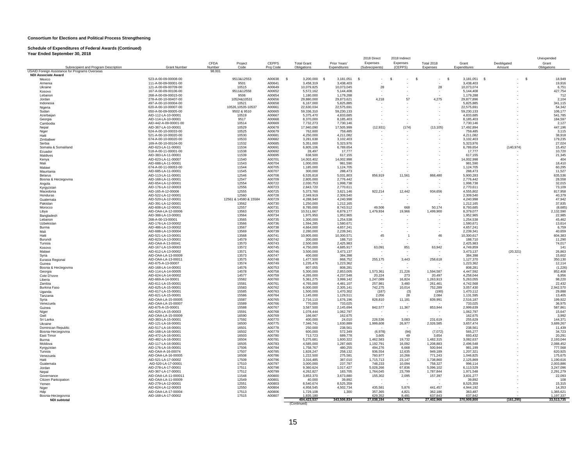|                                                |                       |                       |              |                    |                | 2018 Direct     | 2018 Indirect  |                   |                                |             | Unexpended  |
|------------------------------------------------|-----------------------|-----------------------|--------------|--------------------|----------------|-----------------|----------------|-------------------|--------------------------------|-------------|-------------|
|                                                |                       | CFDA<br>Project       | <b>CEPPS</b> | <b>Total Grant</b> | Prior Years'   | Expenses        | Expenses       | <b>Total 2018</b> | Grant                          | Deobligated | Grant       |
| Subrecipient and Program Description           | <b>Grant Number</b>   | Number<br>Code        | Proi Code    | Obligations        | Expenditures   | (Subrecipients) | (CEPPS)        | Expenses          | Expenditures                   | Amount      | Obligations |
| USAID Foreign Assistance for Programs Overseas |                       | 98.001                |              |                    |                |                 |                |                   |                                |             |             |
| <b>NDI Associate Award</b>                     |                       |                       |              |                    |                |                 |                |                   |                                |             |             |
| Mexico                                         | 523-A-00-09-00008-00  | 9513&12553            | A00638       | 3,200,000<br>-S    | s<br>3,181,051 | $\mathsf{s}$    | S.             | -S<br>$\sim$      | \$<br>3,181,051<br>$\mathbf s$ | s           | 18,949      |
| Armenia                                        | 111-A-00-09-00001-00  | 9501                  | A00641       | 3.458.319          | 3.438.403      |                 |                |                   | 3.438.403                      |             | 19,916      |
| Ukraine                                        | 121-A-00-09-00709-00  | 10515                 | A00649       | 10,079,825         | 10,073,045     | 28              |                | 28                | 10,073,074                     |             | 6,751       |
| Kosovo                                         | 167-A-00-09-00106-00  | 9511&12558            | A00652       | 5.572.162          | 5.144.408      |                 |                |                   | 5.144.408                      |             | 427,754     |
| Lebanon                                        | 268-A-00-09-00015-00  | 9506                  | A00654       | 1,180,000          | 1,179,288      |                 |                |                   | 1,179,288                      |             | 712         |
| Jordan                                         | 278-A-00-10-00407-00  | 10524&10531           | A00656       | 29.880.000         | 29.873.621     | 4,218           | 57             | 4,275             | 29.877.896                     |             | 2.104       |
| Indonesia                                      | 497-A-00-10-00004-00  | 10521                 | A00658       | 6,167,000          | 5,825,885      |                 |                |                   | 5,825,885                      |             | 341,115     |
| Nigeria                                        | 620-A-00-10-00007-00  | 10526, 10535-10537    | A00661       | 22.630.034         | 22,575,691     |                 |                |                   | 22,575,691                     |             | 54,342      |
| Sudan                                          | 650-A-00-09-00005-00  | 9502 & 9510           | A00665       | 59,336,310         | 59,230,133     |                 |                |                   | 59,230,133                     |             | 106,177     |
| Azerbaijan                                     | AID-112-LA-10-00001   | 10519                 | A00667       | 5,375,470          | 4,833,685      |                 |                |                   | 4,833,685                      |             | 541,785     |
| Georgia                                        | AID-114-LA-10-00001   | 9517                  | A00668       | 8,370,000          | 8,185,403      |                 |                |                   | 8,185,403                      |             | 184,597     |
| Cambodia                                       | AID-442-A-09-00001-00 | 10514                 | A00669       | 7,732,273          | 7,730,146      |                 |                |                   | 7,730,146                      |             | 2,127       |
|                                                | AID-367-LA-10-00001   | 10529                 | A00678       | 17.940.090         | 17,505,999     | (12, 931)       | (174)          | (13, 105)         | 17.492.894                     |             | 447.196     |
| Nepal                                          |                       |                       |              |                    |                |                 |                |                   |                                |             |             |
| Niger                                          | 624-A-00-10-00033-00  | 10525                 | A00679       | 762,600            | 759,485        |                 |                |                   | 759,485                        |             | 3,115       |
| Haiti                                          | 521-A-00-10-00020-00  | 10530                 | A00681       | 4.250.000          | 4.211.082      |                 |                |                   | 4.211.082                      |             | 38.918      |
| Zimbabwe                                       | 674-A-00-10-00020-00  | 10533                 | A00682       | 3,281,638          | 3,102,403      |                 |                |                   | 3,102,403                      |             | 179,235     |
| Serbia                                         | 169-A-00-10-00104-00  | 11532                 | A00685       | 5,351,000          | 5,323,976      |                 |                |                   | 5,323,976                      |             | 27,024      |
| Somalia & Somaliland                           | AID-623-LA-11-00001   | 11534                 | A00691       | 6,805,106          | 6,789,654      |                 |                |                   | 6,789,654                      | (140, 974)  | 15,452      |
| Fcuador                                        | 518-A-00-11-00001-00  | 11538                 | A00692       | 28,497             | 17,777         |                 |                |                   | 17,777                         |             | 10,720      |
| Maldives                                       | AID-383-LA-11-00001   | 11539                 | A00695       | 638,500            | 617.155        |                 |                |                   | 617.155                        |             | 21,345      |
| Kenya                                          | AID-623-LA-11-00007   | 11540                 | A00701       | 14.003.402         | 14.002.998     |                 |                |                   | 14,002,998                     |             | 404         |
| Mali                                           | AID-688-LA-11-00001   | 11543                 | A00704       | 1.000.000          | 981.590        |                 |                |                   | 981.590                        |             | 18.410      |
| Malawi                                         | 674-A-00-11-00053-00  | 11544                 | A00705       | 1,185,000          | 1,124,705      |                 |                |                   | 1,124,705                      |             | 60,295      |
| Mauritania                                     | AID-685-LA-11-00001   | 11545                 | A00707       | 300,000            | 288,473        |                 |                |                   | 288,473                        |             | 11,527      |
| Belarus                                        | AID-113-LA-11-00001   | 12546                 | A00708       | 6,535,818          | 5,031,803      | 856,919         | 11,561         | 868,480           | 5,900,283                      |             | 635,536     |
| Bosnia & Herzegovina                           | AID-168-LA-11-00001   | 12547                 | A00709       | 2,805,000          | 2,776,442      |                 |                |                   | 2,776,442                      |             | 28,558      |
| Angola                                         | AID-654-LA-12-00001   | 12554                 | A00722       | 2,030,753          | 1.998.738      |                 |                |                   | 1,998,738                      |             | 32,015      |
| Kyrgyzstan                                     | AID-176-LA-12-00003   | 12556                 | A00723       | 2,843,720          | 2,770,611      |                 |                |                   | 2,770,611                      |             | 73,109      |
| Macedonia                                      | AID-165-A-12-00006    | 12555                 | A00725       | 5.373.760          | 3.621.146      | 922,214         | 12,442         | 934,656           | 4.555.802                      |             | 817.958     |
| Honduras                                       | AID-522-LA-12-00001   | 12560                 | A00728       | 2,349,919          | 2,309,540      |                 |                |                   | 2,309,540                      |             | 40,379      |
|                                                |                       |                       |              |                    |                |                 |                |                   |                                |             |             |
| Guatemala                                      | AID-520-LA-12-00001   | 12561 & 14580 & 15584 | A00729       | 4,288,940          | 4,240,998      |                 |                |                   | 4,240,998                      |             | 47,942      |
| Pakistan                                       | AID-391-LA-12-00001   | 13562                 | A00730       | 1,250,000          | 1,212,165      |                 |                |                   | 1,212,165                      |             | 37,835      |
| Morocco                                        | AID-608-LA-12-00001   | 12557                 | A00731       | 8,785,000          | 8,743,512      | 49,506          | 668            | 50,174            | 8,793,685                      |             | (8,685)     |
| Libya                                          | AID-OAA-LA-12-00006   | 13563                 | A00733       | 10,511,667         | 6,879,177      | 1,479,934       | 19,966         | 1,499,900         | 8,379,077                      |             | 2,132,590   |
| Bangladesh                                     | AID-388-LA-13-00001   | 13564                 | A00734       | 1,975,950          | 1,952,965      |                 |                |                   | 1,952,965                      |             | 22,985      |
| Lebanon                                        | 268-A-00-13-00001     | 13565                 | A00735       | 1,300,000          | 1,254,538      |                 |                |                   | 1,254,538                      |             | 45,462      |
| Uzbekistan                                     | AID-176-LA-13-00002   | 13566                 | A00736       | 1,594,285          | 1,580,671      |                 |                |                   | 1,580,671                      |             | 13,614      |
| <b>Ruma</b>                                    | AID-486-LA-13-00002   | 13567                 | A00738       | 4.664.000          | 4.657.241      |                 |                |                   | 4.657.241                      |             | 6.759       |
| Mali                                           | AID-688-LA-13-00004   | 13569                 | A00739       | 2,280,000          | 2,239,341      |                 |                |                   | 2,239,341                      |             | 40,659      |
| Haiti                                          | AID-521-LA-13-00001   | 13568                 | A00741       | 10,905,000         | 10,300,571     | 45              | $\overline{1}$ | 46                | 10,300,617                     |             | 604,383     |
| Burundi                                        | AID-623-LA-13-00001   | 14579                 | A00742       | 200,000            | 188,710        |                 |                |                   | 188,710                        |             | 11,290      |
| Tunisia                                        | AID-OAA-A-13-00041    | 13570                 | A00743       | 2,500,000          | 2,425,983      |                 |                |                   | 2,425,983                      |             | 74,017      |
| Kosovo                                         | AID-167-LA-13-00003   | 13572                 | A00745       | 4,750,000          | 4.685.917      | 63,091          | 851            | 63,942            | 4.749.859                      |             | 141         |
| Malawi                                         | AID-612-LA-13-00002   | 13571                 | A00746       | 3,500,000          | 3,473,137      |                 |                |                   | 3,473,137                      | (20, 321)   | 26,863      |
|                                                |                       | 13573                 | A00747       |                    | 384.398        |                 |                |                   | 384.398                        |             |             |
| Svria                                          | AID-OAA-LA-13-00009   |                       |              | 400,000            |                |                 |                |                   |                                |             | 15,602      |
| Eurasia Regional                               | AID-OAA-LA-13-00011   | 13575                 | A00748       | 1,477,500          | 868,752        | 255,175         | 3,443          | 258,618           | 1,127,370                      |             | 350,130     |
| Guinea                                         | AID-675-A-13-00007    | 13574                 | A00749       | 1.235.476          | 1,223,362      |                 |                |                   | 1,223,362                      |             | 12,114      |
| Bosnia & Herzegovina                           | AID-168-LA-14-00001   | 14576                 | A00753       | 807,055            | 808,281        |                 |                |                   | 808,281                        |             | (1,226)     |
| Georgia                                        | AID-114-LA-14-00005   | 14578                 | A00758       | 5,300,000          | 2,853,005      | 1,573,361       | 21,226         | 1,594,587         | 4,447,592                      |             | 852,408     |
| Cote D'ivore                                   | AID-624-LA-14-00002   | 14577                 | A00759       | 4,265,000          | 4,237,548      | 20,224          | 273            | 20,497            | 4,258,044                      |             | 6,956       |
| Liberia                                        | AID-669-A-14-00001    | 15582                 | A00760       | 5,361,275          | 3,999,142      | 1,247,089       | 16,824         | 1,263,913         | 5.263.055                      |             | 98,220      |
| <b>Zambia</b>                                  | AID-611-LA-15-00001   | 15581                 | A00761       | 4.765.000          | 4.481.107      | 257,981         | 3.480          | 261.461           | 4.742.568                      |             | 22.432      |
| Burkina Faso                                   | AID-625-LA-15-00001   | 15583                 | A00762       | 6,000,000          | 2,305,141      | 742,275         | 10,014         | 752.289           | 3,057,430                      |             | 2,942,570   |
| Uganda                                         | AID-617-LA-15-00001   | 15585                 | A00763       | 1.500.000          | 1.470.302      | (187)           | (3)            | (190)             | 1,470,112                      |             | 29,888      |
| Tanzania                                       | AID-621-LA-15-00001   | 15586                 | A00764       | 1,145,000          | 1,129,511      | 2,056           | 28             | 2,084             | 1,131,595                      |             | 13,405      |
| Svria                                          | AID-OAA-LA-15-00005   | 15587                 | A00765       | 2.716.110          | 1.676.196      | 828,810         | 11,181         | 839,991           | 2.516.187                      |             | 199.922     |
| Venezuela                                      | AID-OAA-LA-15-00007   | 15589                 | A00766       | 770,000            | 733,025        |                 |                |                   | 733,025                        |             | 36,975      |
| Guinea                                         | AID-675-A-15-00001    | 15588                 | A00767       | 3,587,500          | 2,145,694      | 842,577         | 11,367         | 853,944           | 2,999,639                      |             | 587,861     |
| Niger                                          | AID-625-LA-15-00003   | 15591                 | A00768       | 1.078.444          | 1,062,797      |                 |                |                   | 1,062,797                      |             | 15.647      |
| Gwli                                           | AID-OAA-LA-15-00009   | 16590                 | A00769       | 166,667            | 162.675        |                 |                |                   | 162.675                        |             | 3,992       |
|                                                | AID-383-LA-15-00001   | 17592                 | A00770       | 400,000            | 24.010         | 228.536         | 3.083          | 231.619           | 255.629                        |             |             |
| Sri Lanka                                      |                       |                       |              |                    |                |                 |                |                   |                                |             | 144,371     |
| Ukraine                                        | AID-121-LA-16-00001   | 16500                 | A00775       | 7,346,741          | 1,630,889      | 1,999,608       | 26,977         | 2,026,585         | 3,657,474                      |             | 3,689,267   |
| Dominican Republic                             | AID-517-LA-16-00001   | 16501                 | A00778       | 250,000            | 238.561        |                 |                |                   | 238,561                        |             | 11.439      |
| Bosnia-Herzegovina                             | AID-168-LA-16-00001   | 16502                 | A00779       | 600,000            | 572,349        | (6,978)         | (94)           | (7,072)           | 565,277                        |             | 34,723      |
| Fast Timor                                     | AID-472-LA-16-00001   | 16503                 | A00780       | 713.723            | 689,778        | 3.605           | 49             | 3.654             | 693.432                        |             | 20,291      |
| Burma                                          | AID-482-LA-16-00001   | 16504                 | A00781       | 5,275,681          | 1.600.322      | 1.462.583       | 19,732         | 1.482.315         | 3.082.637                      |             | 2,193,044   |
| Moldova                                        | AID-117-LA-16-00001   | 16505                 | A00783       | 4.585.000          | 1.287.665      | 1,192,791       | 16,092         | 1.208.883         | 2,496,548                      |             | 2,088,452   |
| Kyrgyzstan                                     | AID-176-LA-16-00001   | 17506                 | A00784       | 1,758,767          | 480,255        | 494,276         | 6.668          | 500,944           | 981.199                        |             | 777,568     |
| Tunisia                                        | AID-OAA-A-16-00074    | 17507                 | A00785       | 1,828,247          | 258,132        | 936,554         | 12,635         | 949.189           | 1,207,321                      |             | 620,925     |
| Venezuela                                      | AID-OAA-LA-16-00005   | 16508                 | A00786       | 1.222.500          | 275.581        | 760.977         | 10.266         | 771.243           | 1.046.825                      |             | 175.675     |
| Haiti                                          | AID-521-LA-17-00002   | 17509                 | A00796       | 3,316,485          | 387,010        | 1,715,713       | 23,147         | 1,738,860         | 2,125,869                      |             | 1,190,616   |
| Guatemala                                      | AID-520-LA-17-00001   | 17510                 | A00797       | 3.000.000          | 237,787        | 748.233         | 10.094         | 758.327           | 996.114                        |             | 2.003.886   |
| Jordan                                         | AID-278-LA-17-00001   | 17511                 | A00798       | 9.360.624          | 1,017,427      | 5,028,266       | 67,836         | 5.096.102         | 6.113.529                      |             | 3,247,096   |
| Nepal                                          | AID-367-LA-17-00001   | 17512                 | A00799       | 4,262,827          | 183,705        | 1,764,045       | 23.799         | 1.787.844         | 1,971,548                      |             | 2,291,279   |
| Governance                                     | AID-OAA-LA-11-000011  | 11548                 | A00800       | 3,853,370          | 3,673,880      |                 | 2.095          |                   | 3.831.277                      |             | 22,093      |
|                                                | AID-OAA-LA-11-00009   | 12549                 | A00801       | 40,000             | 39.892         | 155,302         |                | 157,397           | 39,892                         |             | 108         |
| <b>Citizen Participation</b>                   |                       |                       |              |                    |                |                 |                |                   |                                |             |             |
| Yemen                                          | AID-279-LA-12-00001   | 12551                 | A00803       | 8,540,674          | 8.525.359      |                 |                |                   | 8,525,359                      |             | 15,315      |
| Niger                                          | AID-624-LA-12-00003   | 12550                 | A00804       | 4,958,545          | 4,502,734      | 435,581         | 5,876          | 441,457           | 4,944,192                      |             | 14,353      |
| Hdn                                            | AID-OAA-LA-17-00004   | 17513                 | A00806       | 1.729.108          | 1.300          | 357.365         | 4.821          | 362.186           | 363.487                        |             | 1,365,621   |
| Bosnia-Herzegovina                             | AID-168-LA-17-00002   | 17515                 | A00807       | 1.835.180          |                | 629.352         | 8.491          | 637.843           | 637.842                        |             | 1.197.337   |
| <b>NDI</b> subtotal                            |                       |                       |              | 404,423,537        | 343,506,834    | 27,038,194      | 364,772        | 27,402,966        | 370,909,800                    | (161, 295)  | 33,513,735  |
|                                                |                       |                       |              | (Continued)        |                |                 |                |                   |                                |             |             |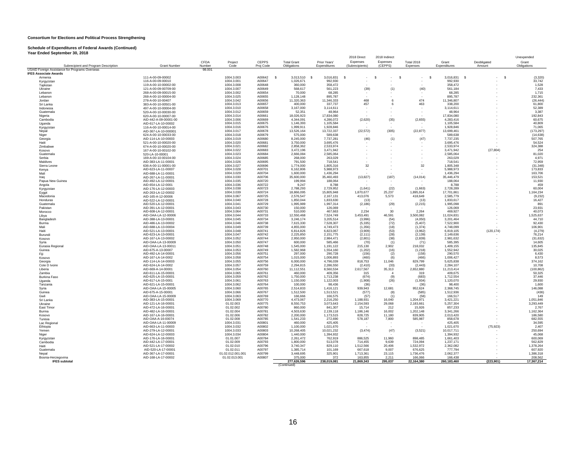| Year Ended September 30, 2018                  |                                               |                |                                              |              |                                   |                              |                             |                          |                          |                              |                       |                        |
|------------------------------------------------|-----------------------------------------------|----------------|----------------------------------------------|--------------|-----------------------------------|------------------------------|-----------------------------|--------------------------|--------------------------|------------------------------|-----------------------|------------------------|
|                                                |                                               |                |                                              |              |                                   |                              | 2018 Direct                 | 2018 Indirect            |                          |                              |                       | Unexpended             |
| Subrecipient and Program Description           | <b>Grant Number</b>                           | CFDA<br>Number | <b>CEPPS</b><br>Project<br>Code<br>Proj Code |              | <b>Total Grant</b><br>Obligations | Prior Years'<br>Expenditures | Expenses<br>(Subrecipients) | Expenses<br>(CEPPS)      | Total 2018<br>Expenses   | Grant<br>Expenditures        | Deobligated<br>Amount | Grant<br>Obligations   |
| USAID Foreign Assistance for Programs Overseas |                                               | 98.001         |                                              |              |                                   |                              |                             |                          |                          |                              |                       |                        |
| <b>IFES Associate Awards</b>                   |                                               |                |                                              |              |                                   |                              |                             |                          |                          |                              |                       |                        |
| Armenia                                        | 111-A-00-09-00002                             |                | 1004.3.003<br>A00642                         | $\mathsf{s}$ | 3,013,510 \$                      | 3.016.831                    | $\mathbf{s}$                | - \$                     | - \$                     | 3.016.831 \$<br><sub>S</sub> | - \$                  | (3.320)                |
| Kyrgyzstan                                     | 116-A-00-09-00010                             |                | 1004.3.001<br>A00647                         |              | 1,026,671                         | 992,930                      |                             |                          |                          | 992,930                      |                       | 33,742                 |
| Taiikstan<br>Ukraine                           | 119-A-00-10-00002-00<br>121-A-00-09-00709-00  |                | 1004.3.008<br>A00648<br>1004.3.007<br>A00649 |              | 360,000<br>568.617                | 358.472<br>561,223           | (39)                        | (1)                      | (40)                     | 358,472<br>561.184           |                       | 1.528<br>7,433         |
| Lebanon                                        | 268-A-00-09-00015-00                          |                | 1004.3.002<br>A00654                         |              | 70,000                            | 68.285                       |                             |                          |                          | 68,285                       |                       | 1,715                  |
| I ebanon                                       | 268-A-00-10-00004-00                          |                | 1004.3.025<br>A00655                         |              | 1,128,148                         | 895,787                      |                             |                          |                          | 895,787                      |                       | 232,361                |
| Jordan                                         | 278-A-00-10-00407                             |                | 1004.3.042<br>A00656                         |              | 11,320,363                        | 11,346,333                   | 468                         | -6                       | 474                      | 11,346,807                   |                       | (26, 444)              |
| Sri Lanka                                      | 383-A-00-10-00501-00                          |                | 1004.3.013<br>A00657                         |              | 400.000                           | 337.737                      | 457                         | -6                       | 463                      | 338,200                      |                       | 61.800                 |
| Indonesia                                      | 497-A-00-10-00004-00                          |                | 1004.3.010<br>A00658                         |              | 3,167,000                         | 3,114,611                    |                             |                          |                          | 3,114,611                    |                       | 52,389                 |
| Guatemala                                      | 520-A-00-10-00030-00                          |                | 1004.3.012<br>A00659                         |              | 52,351                            | 48,964                       | - 20                        |                          | $\overline{\phantom{a}}$ | 48,964                       |                       | 3,387                  |
| Nigeria<br>Cambodia                            | 620-A-00-10-00007-00<br>AID-442-A-09-00001-00 |                | 1004.3.014<br>A00661<br>1004.3.006<br>A00669 |              | 18.026.923<br>4,344,091           | 17.834.080<br>4,286,072      | (2,620)                     | (35)                     | (2,655)                  | 17.834.080<br>4,283,416      |                       | 192.843<br>60,675      |
| Uganda                                         | AID-617-LA-10-00002                           |                | 1004.3.015<br>A00675                         |              | 1,146,393                         | 1,105,584                    |                             |                          |                          | 1,105,584                    |                       | 40,809                 |
| Kyrgyzstan                                     | 116-A-00-10-00014-00                          |                | 1004.3.016<br>A00676                         |              | 1.999.911                         | 1.928.846                    |                             |                          |                          | 1.928.846                    |                       | 71.065                 |
| Nepal                                          | AID-367-LA-10-000001                          |                | 1004.3.017<br>A00678                         |              | 13,526,164                        | 13,722,337                   | (22, 572)                   | (305)                    | (22, 877)                | 13,699,461                   |                       | (173, 297)             |
| Niger                                          | 624-A-00-10-00033-00                          |                | 1004.3.018<br>A00679                         |              | 575,000                           | 589,638                      |                             |                          |                          | 589,638                      |                       | (14, 638)              |
| Georgia                                        | AID-114-LA-10-00003                           |                | 1004.3.019<br>A00680                         |              | 8,245,000                         | 7,737,281                    | (46)                        | (1)                      | (47)                     | 7,737,235                    |                       | 507,765                |
| Haiti                                          | 521-A-00-10-00020-00                          |                | 1004.3.020<br>A00681<br>A00682               |              | 3,750,000<br>2.858.362            | 3,695,476<br>2.533.974       |                             |                          |                          | 3,695,476<br>2.533.974       |                       | 54,524                 |
| Zimbabwe<br>Kosovo                             | 674-A-00-10-00020-00<br>167-A-00-10-00102-00  |                | 1004.3.021<br>1004.3.022<br>A00683           |              | 3,472,196                         | 3,471,942                    |                             |                          |                          | 3,471,942                    | (27, 804)             | 324,388<br>254         |
| Guatemala                                      | 520-LA-10-00001                               |                | 1004.3.023<br>A00684                         |              | 2,666,084                         | 2,585,064                    |                             |                          |                          | 2,585,064                    |                       | 81,020                 |
| Serbia                                         | 169-A-00-10-00104-00                          |                | 1004.3.024<br>A00685                         |              | 268,000                           | 263,029                      |                             |                          |                          | 263.029                      |                       | 4,971                  |
| Maldives                                       | AID-383-LA-11-00001                           |                | 1004.3.026<br>A00695                         |              | 791,500                           | 718,541                      |                             |                          |                          | 718,541                      |                       | 72,959                 |
| Sierra Leone                                   | 636-A-00-11-00001-00                          |                | 1004.3.027<br>A00696                         |              | 1.774.000                         | 1.805.316                    | 32                          |                          | 32                       | 1.805.348                    |                       | (31, 348)              |
| Kenya                                          | AID-623-LA-11-00007                           |                | 1004.3.028<br>A00701                         |              | 6,162,806                         | 5,988,973                    |                             |                          | $\sim$                   | 5,988,973                    |                       | 173,833                |
| Mali                                           | AID-688-LA-11-00001                           |                | 1004.3.029<br>A00704                         |              | 1,600,000                         | 1,436,294                    |                             |                          |                          | 1,436,294                    |                       | 163,706                |
| Iraq<br>Papua New Guinea                       | AID-267-LA-11-00001<br>AID-492-LA-12-00001    |                | 1004.3.030<br>A00706<br>1004.3.035<br>A00720 |              | 35,600,000<br>199.994             | 35,460,493<br>188.064        | (13, 827)                   | (187)                    | (14, 014)                | 35,446,479<br>188.064        |                       | 153,521<br>11,930      |
| Angola                                         | AID-654-LA-12-0001                            |                | 1004.3.036<br>A00722                         |              | 9.247                             | 8.788                        |                             |                          |                          | 8.788                        |                       | 459                    |
| Kyrgyzstan                                     | AID-176-LA-12-00003                           |                | 1004.3.038<br>A00723                         |              | 2.788.293                         | 2,729,952                    | (1.641)                     | (22)                     | (1.663)                  | 2,728,289                    |                       | 60.004                 |
| Eygpt                                          | AID-263-LA-12-00002                           |                | 1004.3.039<br>A00724                         |              | 18.866.095                        | 15,805,948                   | 1,870,677                   | 25.237                   | 1.895.914                | 17,701,861                   |                       | 1,164,234              |
| Macedonia                                      | AID-165-A-12-00006                            |                | 1004.3.067<br>A00725                         |              | 2,576,547                         | 2,167,131                    | 413,076                     | 5,573                    | 418,649                  | 2.585.779                    |                       | (9,232)                |
| Honduras                                       | AID-522-LA-12-00001                           |                | 1004.3.040<br>A00728                         |              | 1.850.044                         | 1.833.630                    | (13)                        |                          | (13)                     | 1.833.617                    |                       | 16,427                 |
| Guatemala                                      | AID-520-LA-12-00001                           |                | 1004.3.041<br>A00729                         |              | 1,995,989                         | 1,997,314                    | (2, 186)                    | (29)                     | (2, 215)                 | 1,995,098                    |                       | 891                    |
| Pakistan                                       | AID-391-LA-12-00001<br>AID-608-LA-12-00001    |                | 1004.3.043<br>A00730<br>1004.3.064<br>A00731 |              | 150,000<br>510,000                | 126,069<br>467,663           | 2,234                       | 30                       | 2,264                    | 126,069<br>469,927           |                       | 23,931<br>40,073       |
| Morocco<br>Libya                               | AID-OAA-LA-12-00006                           |                | 1004.3.044<br>A00733                         |              | 12,550,468                        | 7,524,749                    | 3,453,491                   | 46,591                   | 3,500,082                | 11,024,831                   |                       | 1,525,637              |
| Bangladesh                                     | AID-388-LA-13-00001                           |                | 1004.3.045<br>A00734                         |              | 3.246.174                         | 3,205,514                    | (3,996)                     | (54)                     | (4,050)                  | 3.201.464                    |                       | 44.710                 |
| Burma                                          | AID-486-LA-13-00002                           |                | 1004.3.046<br>A00738                         |              | 7,615,330                         | 7,528,307                    | (5, 335)                    | (72)                     | (5, 407)                 | 7,522,900                    |                       | 92,430                 |
| Mali                                           | AID-688-LA-13-00004                           |                | 1004.3.049<br>A00739                         |              | 4,855,000                         | 4,749,473                    | (1,356)                     | (18)                     | (1, 374)                 | 4,748,099                    |                       | 106,901                |
| Haiti                                          | AID-521-LA-13-00001                           |                | 1004.3.048<br>A00741                         |              | 6.814.826                         | 6.823.067                    | (3.909)                     | (53)                     | (3.962)                  | 6.819.105                    | (120, 174)            | (4.279)                |
| Burundi                                        | AID-623-LA-13-00001                           |                | 1004.3.047<br>A00742<br>A00744               |              | 2,225,850                         | 2,151,775                    | (2, 111)                    | (28)                     | (2, 139)                 | 2,149,636                    |                       | 76,214                 |
| Kosovo<br>Syria                                | AID-167-LA-13-00002<br>AID-OAA-LA-13-00009    |                | 1004.3.052<br>1004.3.050<br>A00747           |              | 2,950,000<br>600,000              | 2,984,471<br>585.466         | (2,801)<br>(70)             | (38)<br>(1)              | (2,839)<br>(71)          | 2,981,632<br>585.395         |                       | (31, 632)<br>14,605    |
| Eurasia Regional                               | AID-OAA-LA-13-00011                           |                | 1004.3.051<br>A00748                         |              | 1,545,000                         | 1,191,122                    | 215,130                     | 2,902                    | 218.032                  | 1.409.155                    |                       | 135.845                |
| Guinea                                         | AID-675-A-13-00007                            |                | 1004.3.053<br>A00749                         |              | 1,582,968                         | 1,554,160                    | (1,202)                     | (16)                     | (1, 218)                 | 1,552,942                    |                       | 30,025                 |
| Fiii                                           | AID-492-LA-14-00001                           |                | 1004.3.056<br>A00751                         |              | 297,000                           | 290,728                      | (156)                       | (2)                      | (158)                    | 290,570                      |                       | 6,430                  |
| Kosovo                                         | AID-167-LA-14-0002                            |                | 1004.3.058<br>A00754                         |              | 1,015,000                         | 1,006,893                    | (460)                       | (6)                      | (466)                    | 1,006,427                    |                       | 8,573                  |
| Georgia                                        | AID-114-LA-14-00003                           |                | 1004.3.055<br>A00756                         |              | 6,000,000                         | 4,796,039                    | 818,753                     | 11,046                   | 829,799                  | 5,625,838                    |                       | 374,162                |
| Cote D Ivoire                                  | AID-624-LA-14-0002                            |                | 1004.3.057<br>A00759                         |              | 2,294,815                         | 2,286,550                    | (2, 410)                    | (33)                     | (2, 443)                 | 2,284,107                    |                       | 10,708                 |
| Liberia<br><b>Zambia</b>                       | AID-669-A-14-00001<br>AID-611-LA-15-00001     |                | 1004.3.054<br>A00760<br>1004.3.065<br>A00761 |              | 11,112,551<br>460.000             | 8,560,534<br>409,356         | 2,617,567<br>315            | 35,313<br>$\overline{4}$ | 2,652,880<br>319         | 11,213,414<br>409.675        |                       | (100, 862)<br>50,325   |
| Burkina Faso                                   | AID-625-LA-15-00001                           |                | 1004.3.059<br>A00762                         |              | 1,750,000                         | 1,713,238                    | (674)                       | (9)                      | (683)                    | 1,712,554                    |                       | 37,446                 |
| Uganda                                         | AID-617-LA-15-0001                            |                | 1004.3.061<br>A00763                         |              | 1,150,000                         | 1,122,003                    | (1,908)                     | (26)                     | (1,934)                  | 1,120,070                    |                       | 29,930                 |
| Tanzania                                       | AID-621-LA-15-00001                           |                | 1004.3.062<br>A00764                         |              | 100,000                           | 98,436                       | (36)                        |                          | (36)                     | 98,400                       |                       | 1.600                  |
| Syria                                          | AID-OAA-LA-15-00005                           |                | 1004.3.060<br>A00765                         |              | 2,514,833                         | 1,416,121                    | 939,943                     | 12,681                   | 952,624                  | 2,368,745                    |                       | 146,088                |
| Guinea                                         | AID-675-A-15-00001                            |                | 1004.3.066<br>A00767                         |              | 1,512,500                         | 1,513,521                    | (577)                       | (8)                      | (585)                    | 1,512,936                    |                       | (436)                  |
| Gwli                                           | AID-OAA-LA-15-00009                           |                | 1004.3.063<br>A00769                         |              | 166,666                           | 166,575                      | (57)                        | (1)                      | (58)                     | 166,517                      |                       | 149                    |
| Sri Lanka                                      | AID-383-LA-15-00001<br>AID-121-LA-16-00001    |                | 1004.3.069<br>A00770<br>01.02.003<br>A00775  |              | 4,473,067<br>8.550.753            | 2,216,250<br>3,073,643       | 1,188,931<br>2,154,593      | 16,040<br>29,068         | 1,204,971<br>2,183,661   | 3,421,221<br>5.257.304       |                       | 1,051,846<br>3,293,449 |
| Ukraine<br><b>Fast Timor</b>                   | AID-472-LA-16-00001                           |                | 01.02.002<br>A00780                          |              | 860,000                           | 841,307                      | 15.714                      | 212                      | 15,926                   | 857,233                      |                       | 2,767                  |
| Burma                                          | AID-482-LA-16-00001                           |                | 01.02.004<br>A00781                          |              | 4,503,630                         | 2,139,118                    | 1,186,146                   | 16,002                   | 1,202,148                | 3,341,266                    |                       | 1,162,364              |
| Kosovo                                         | AID-167-LA-16-00001                           |                | 01.02.006<br>A00782                          |              | 2,200,000                         | 1,173,515                    | 828,725                     | 11.180                   | 839,905                  | 2.013.420                    |                       | 186,580                |
| Tunisia                                        | AID-OAA-A-16-00074                            |                | 01.02.008<br>A00785                          |              | 1,541,233                         | 272,690                      | 578,187                     | 7,800                    | 585,987                  | 858.678                      |                       | 682,555                |
| Lac Regional                                   | AID-OAA-LA-11-00009                           |                | 1004.3.031<br>A00801                         |              | 460,000                           | 425,405                      |                             |                          |                          | 425.405                      |                       | 34,595                 |
| Ethiopia                                       | AID-663-LA-11-00003                           |                | 1004.3.032<br>A00802                         |              | 1,100,000                         | 1,021,670                    |                             |                          |                          | 1,021,670                    | (75, 923)             | 2,407                  |
| Yemen                                          | AID-279-LA-12-00001                           |                | 1004.3.033<br>A00803                         |              | 10,268,405                        | 10,021,232                   | (3, 474)                    | (47)                     | (3,521)                  | 10,017,711                   |                       | 250,694                |
| Niger                                          | AID-624-LA-12-00003<br>AID-176-LA-16-00001    |                | 1004.3.034<br>A00804<br>01.01.007<br>A00784  |              | 1.440.000<br>2,261,472            | 1.394.932<br>762,919         | 886,525                     | 11,960                   | 898,485                  | 1,394,932<br>1,661,403       |                       | 45.068<br>600,069      |
| Kyrgyzstan<br>Cambodia                         | AID-442-LA-17-00001                           |                | 01.02.009<br>A00793                          |              | 1,800,000                         | 513,078                      | 714,455                     | 9,639                    | 724,094                  | 1,237,171                    |                       | 562,829                |
| Haiti                                          | AID-521-LA-17-00002                           |                | 01.02.010<br>A00796                          |              | 3.740.347                         | 829.110                      | 1.512.566                   | 20.406                   | 1.532.972                | 2.362.082                    |                       | 1.378.264              |
| Guatemala                                      | AID-520-LA-17-00001                           |                | 01.02.011<br>A00797                          |              | 1,385,714                         | 101,169                      | 667,618                     | 9,007                    | 676,625                  | 777,794                      |                       | 607,920                |
| Nepal                                          | AID-367-LA-17-00001                           |                | 01.02.012.001.001<br>A00799                  |              | 3,448,695                         | 325,901                      | 1,713,361                   | 23,115                   | 1,736,476                | 2,062,377                    |                       | 1,386,318              |
| Bosnia-Herzegovina                             | AID-168-LA-17-00002                           |                | 01.02.013.001<br>A00807                      |              | 375,000                           | 372                          | 163.855                     | 2.211                    | 166,066                  | 166,438                      |                       | 208,562                |
| <b>IFES</b> subtotal                           |                                               |                |                                              |              | 277.626.596                       | 238,019,081                  | 21,869,343                  | 295,037                  | 22,164,380               | 260,183,460                  | (223.901)             | 17,367,214             |
|                                                |                                               |                |                                              |              | (Continued)                       |                              |                             |                          |                          |                              |                       |                        |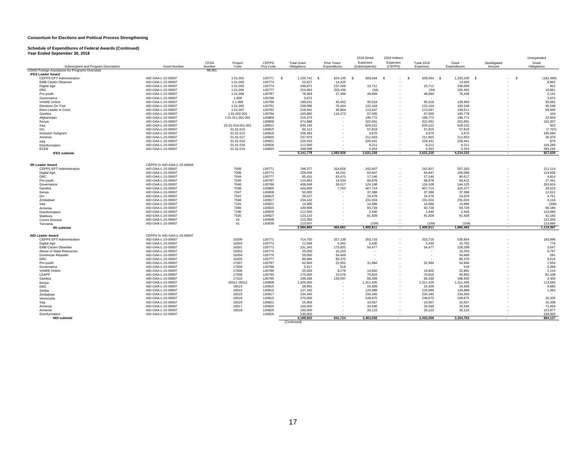| Subrecipient and Program Description<br>USAID Foreign Assistance for Programs Overseas | <b>Grant Number</b>                      | CFDA<br>Number<br>98.001 | Project<br>Code   | <b>CEPPS</b><br>Proj Code |    | <b>Total Grant</b><br>Obligations | Prior Years'<br>Expenditures | Expenses<br>(Subrecipients) | Expenses<br>(CEPPS) | Total 2018<br>Expenses | Grant<br>Expenditures                   | Deobligated<br>Amount | Grant                |
|----------------------------------------------------------------------------------------|------------------------------------------|--------------------------|-------------------|---------------------------|----|-----------------------------------|------------------------------|-----------------------------|---------------------|------------------------|-----------------------------------------|-----------------------|----------------------|
|                                                                                        |                                          |                          |                   |                           |    |                                   |                              |                             |                     |                        |                                         |                       |                      |
|                                                                                        |                                          |                          |                   |                           |    |                                   |                              |                             |                     |                        |                                         |                       | Obligations          |
| <b>IFES Leader Award</b>                                                               |                                          |                          |                   |                           |    |                                   |                              |                             |                     |                        |                                         |                       |                      |
| CEPPS EPT-Administration                                                               | AID-OAA-L-15-00007                       |                          | 1.01.001          | L00771                    | -S | 1,150,741 \$                      | 824.195                      | - S<br>509,044              | - S                 | 509,044<br>-9          | 1,333,240<br>$\mathbf{S}$<br>$^{\circ}$ | <b>S</b><br>٠         | (182, 499)           |
| <b>EMB Citizen Observer</b>                                                            | AID-OAA-L-15-00007                       |                          | 1.01.003          | L00773                    |    | 23,027                            | 14,425                       |                             |                     |                        | 14,425                                  |                       | 8,602                |
| Digital Age                                                                            | AID-OAA-L-15-00007                       |                          | 1.01.002          | L00774                    |    | 248,871                           | 237,348                      | 10,711                      |                     | 10,711                 | 248,059                                 |                       | 812                  |
| <b>DRC</b>                                                                             | AID-OAA-L-15-00007                       |                          | 1.01.004          | L00777                    |    | 214.063                           | 203.436                      | (34)                        |                     | (34)                   | 203.402                                 |                       | 10,661               |
| Pro-youth                                                                              | AID-OAA-L-15-00007                       |                          | 1.01.008          | L00787                    |    | 78,569                            | 27,489                       | 48,949                      |                     | 48,949                 | 76,438                                  |                       | 2,131                |
| Governance                                                                             | AID-OAA-L-15-00007                       |                          | 1.009             | L00788                    |    | 3.672                             |                              |                             |                     |                        |                                         |                       | 3.672                |
| VAWIE Online                                                                           | AID-OAA-L-15-00007                       |                          | 1.1.006           | L00789                    |    | 189,031                           | 43,452                       | 95,518                      |                     | 95,518                 | 138,969                                 |                       | 50,062               |
| <b>Elections On Trial</b>                                                              | AID-OAA-L-15-00007                       |                          | 1.01.005          | L00791                    |    | 238,096                           | 70,444                       | 122,104                     |                     | 122,104                | 192,548                                 |                       | 45,548               |
| Elect Leader in Crisis                                                                 | AID-OAA-L-15-00007                       |                          | 1.01.007          | L00792                    |    | 219.441                           | 45.864                       | 113,647                     |                     | 113,647                | 159.511                                 |                       | 59,930               |
| Gambia                                                                                 | AID-OAA-L-15-00007                       |                          | 1.01.002.001      | L00794                    |    | 183,882                           | 116,273                      | 67,505                      |                     | 67,505                 | 183,778                                 |                       | 104                  |
| Afghanistan                                                                            | AID-OAA-L-15-00007                       |                          | 1.01.011.001.001  | L00809                    |    | 219.375                           |                              | 196,772                     |                     | 196,772                | 196,772                                 |                       | 22,603               |
| Kenya                                                                                  | AID-OAA-L-15-00007                       |                          |                   | L00808                    |    | 474,998                           |                              | 322,691                     |                     | 322,691                | 322,691                                 |                       | 152,307              |
| Iraq                                                                                   | AID-OAA-L-15-00007                       |                          | 01.01.014.001.001 | L00812                    |    | 630.145                           |                              | 629,222                     |                     | 629,222                | 629.222                                 |                       | 923                  |
| Drc                                                                                    | AID-OAA-L-15-00007                       |                          | 01.01.015         | L00815                    |    | 50.112                            |                              | 57,819                      |                     | 57,819                 | 57,819                                  |                       | (7,707)              |
| <b>Inclusion Subgrant</b>                                                              | AID-OAA-L-15-00007                       |                          | 01.01.013         | L00818                    |    | 339,364                           |                              | 3,670                       |                     | 3,670                  | 3,670                                   |                       | 335,694              |
| Armenia                                                                                | AID-OAA-L-15-00007                       |                          | 01.01.017         | L00820                    |    | 237.973                           |                              | 211,603                     |                     | 211.603                | 211,603                                 |                       | 26,370               |
| Iraq                                                                                   | AID-OAA-L-15-00007                       |                          | 01.01.016         | L00821                    |    | 229,320                           |                              | 228,441                     |                     | 228,441                | 228,441                                 |                       | 879                  |
| Disinformation                                                                         | AID-OAA-L-15-00007                       |                          | 01.01.018         | L00826                    |    | 112,500                           |                              | 8.211                       |                     | 8.211                  | 8.211                                   |                       | 104.289              |
| ECEE                                                                                   | AID-OAA-L-15-00007                       |                          | 01.01.019         | L00833                    |    | 298.598                           |                              | 5.353                       |                     | 5.353                  | 5.353                                   |                       | 293.245              |
| <b>IFES</b> subtotal                                                                   |                                          |                          |                   |                           |    | 5,141,778                         | 1,582,926                    | 2,631,226                   | $\sim$              | 2,631,226              | 4,214,152                               | $\sim$                | 927,626              |
|                                                                                        |                                          |                          |                   |                           |    |                                   |                              |                             |                     |                        |                                         |                       |                      |
| <b>IRI Leader Award</b>                                                                | CEPPS IV AID-OAA-L-15-00008              |                          |                   |                           |    |                                   |                              |                             |                     |                        |                                         |                       |                      |
| CEPPS EPT-Administration                                                               | AID-OAA-L-15-00007                       |                          | 7005              | L00771                    |    | 768,377                           | 314,656                      | 242,607                     |                     | 242,607                | 557,263                                 |                       | 211,114              |
| Digital Age                                                                            | AID-OAA-L-15-00007                       |                          | 7006              | L00772                    |    | 229,026                           | 44,241                       | 64.847                      |                     | 64.847                 | 109.088                                 |                       | 119,938              |
| <b>DRC</b>                                                                             | AID-OAA-L-15-00007                       |                          | 7044              | L00777                    |    | 85.431                            | 63.470                       | 17.146                      |                     | 17.146                 | 80.617                                  |                       | 4,814                |
| Pro-youth                                                                              | AID-OAA-L-15-00007                       |                          | 7045              | L00787                    |    | 110,853                           | 14,534                       | 68,878                      |                     | 68,878                 | 83,412                                  |                       | 27,441               |
| Governance                                                                             | AID-OAA-L-15-00007                       |                          | 7046              | L00788                    |    | 408.049                           | 20.017                       | 124,108                     |                     | 124.108                | 144,125                                 |                       | 263,924              |
| Gambia                                                                                 | AID-OAA-L-15-00007                       |                          | 7036              | L00805                    |    | 444,000                           | 7,763                        | 407,714                     |                     | 407,714                | 415.477                                 |                       | 28,523               |
| Kenya                                                                                  | AID-OAA-L-15-00007                       |                          | 7047              | L00808                    |    | 50,000                            |                              | 37,388                      |                     | 37,388                 | 37,388                                  |                       | 12,612               |
| Drc                                                                                    | AID-OAA-L-15-00007                       |                          | 7022              | L00815                    |    | 29,227                            |                              | 24.476                      |                     | 24,476                 | 24.476                                  |                       | 4,751                |
| Zimbabwe                                                                               | AID-OAA-L-15-00007                       |                          | 7048              | L00817                    |    | 234.142                           |                              | 231,024                     |                     | 231.024                | 231,024                                 |                       | 3,118                |
| Iraq                                                                                   | AID-OAA-L-15-00007                       |                          | 7181              | L00821                    |    | 14,380                            |                              | 14.686                      |                     | 14,686                 | 14,686                                  |                       | (306)                |
| Armenia                                                                                | AID-OAA-L-15-00007                       |                          | 7065              | L00820                    |    | 149,908                           |                              | 83,728                      |                     | 83,728                 | 83,728                                  |                       | 66,180               |
| Disinformation                                                                         | AID-OAA-L-15-00007                       |                          | 7190              | L00826                    |    | 112,500                           |                              | 2.440                       |                     | 2.440                  | 2.440                                   |                       | 110,060              |
| Maldives                                                                               | AID-OAA-L-15-00007                       |                          | 7020              | L00827                    |    | 123,110                           |                              | 81,928                      |                     | 81,928                 | 81,928                                  |                       | 41,182               |
| Comm Diocese                                                                           | AID-OAA-L-15-00007                       |                          | 42                | L00838                    |    | 112,350                           |                              |                             |                     |                        |                                         |                       | 112,350              |
| Tanzania                                                                               | AID-OAA-L-15-00007                       |                          | 41                | L00839                    |    | 113,507<br>2.984.860              | 464.681                      | (159)<br>1.400.811          |                     | (159)<br>1.400.811     | (159)<br>1.865.493                      | $\sim$                | 113,666<br>1.119.367 |
| <b>IRI</b> subtotal                                                                    |                                          |                          |                   |                           |    |                                   |                              |                             |                     |                        |                                         |                       |                      |
| <b>NDI Leader Award</b>                                                                | CEPPS IV AID-OAA-L-15-00007              |                          |                   |                           |    |                                   |                              |                             |                     |                        |                                         |                       |                      |
| <b>CEPPS EPT-Administration</b>                                                        | AID-OAA-L-15-00007                       |                          | 16300             | L00771                    |    | 714,750                           | 327.138                      | 203,716                     |                     | 203,716                | 530,854                                 |                       | 183,896              |
| Digital Age                                                                            | AID-OAA-L-15-00007                       |                          | 16303             | L00772                    |    | 11,568                            | 5,362                        | 5,430                       |                     | 5,430                  | 10,792                                  |                       | 776                  |
| <b>EMB Citizen Obserber</b>                                                            | AID-OAA-L-15-00007                       |                          | 16301             | L00773                    |    | 231.345                           | 173,820                      | 54,477                      |                     | 54,477                 | 228,298                                 |                       | 3,047                |
| Abuse of State Resources                                                               | AID-OAA-L-15-00007                       |                          | 16302             | L00774                    |    | 25,000                            | 15,203                       |                             |                     |                        | 15,203                                  |                       | 9,797                |
| Dominican Republic                                                                     | AID-OAA-L-15-00007                       |                          | 16304             | L00776                    |    | 55,000                            | 54.409                       |                             |                     |                        | 54,409                                  |                       | 591                  |
| <b>DRC</b>                                                                             | AID-OAA-L-15-00007                       |                          | 16305             | L00777                    |    | 86,986                            | 80,370                       |                             |                     |                        | 80,370                                  |                       | 6,616                |
| Pro-youth                                                                              | AID-OAA-L-15-00007                       |                          | 17307             | L00787                    |    | 62,600                            | 22,952                       | 31,994                      |                     | 31,994                 | 54,946                                  |                       | 7,654                |
| Governance                                                                             | AID-OAA-L-15-00007                       |                          | 17309             | L00788                    |    | 5,917                             | 518                          |                             |                     |                        | 518                                     |                       | 5,399                |
| VAWIE Online                                                                           | AID-OAA-L-15-00007                       |                          | 17306             | L00789                    |    | 25,000                            | 8,279                        | 14,602                      |                     | 14,602                 | 22,881                                  |                       | 2,119                |
| LEAPP                                                                                  | AID-OAA-L-15-00007                       |                          | 17308             | L00790                    |    | 175,000                           | 23.076                       | 70.816                      |                     | 70.816                 | 93.892                                  |                       | 81.108               |
| Gambia                                                                                 | AID-OAA-L-15-00007                       |                          | 17310             | L00795                    |    | 199,336                           | 130,597                      | 66,339                      |                     | 66,339                 | 196,936                                 |                       | 2,400                |
| Kenva                                                                                  | AID-OAA-L-15-00007                       |                          | 18311 18312       | L00808                    |    | 1,425,000                         |                              | 1.311.435                   |                     | 1.311.435              | 1.311.435                               |                       | 113,565              |
| DRC                                                                                    | AID-OAA-L-15-00007                       |                          | 18313             | L00815                    |    | 28,991                            |                              | 24.309                      |                     | 24.309                 | 24.309                                  |                       | 4,682                |
| Serbia                                                                                 | AID-OAA-L-15-00007                       |                          | 18314             | L00816                    |    | 127.182                           |                              | 125.689                     |                     | 125,689                | 125,689                                 |                       | 1,493                |
| Zimbabwe                                                                               | AID-OAA-L-15-00007                       |                          | 18315             | L00817                    |    | 234.340                           |                              | 234.340                     |                     | 234.340                | 234.340                                 |                       |                      |
| Venezuela                                                                              | AID-OAA-L-15-00007                       |                          | 18316             | L00819                    |    | 270,000                           |                              | 249,675                     |                     | 249,675                | 249,675                                 |                       | 20,325               |
| Iraq                                                                                   | AID-OAA-L-15-00007<br>AID-OAA-L-15-00007 |                          | 18319<br>18317    | L00821<br>L00820          |    | 25,905                            |                              | 10,567                      |                     | 10,567<br>33.546       | 10,567                                  |                       | 15,338               |
| Armenia                                                                                | AID-OAA-L-15-00007                       |                          | 18318             | L00825                    |    | 105,000<br>150,000                |                              | 33,546<br>26,123            |                     | 26,123                 | 33,546<br>26,123                        |                       | 71,454<br>123,877    |
| Armenia<br>Disinformation                                                              | AID-OAA-L-15-00007                       |                          |                   | L00826                    |    | 230,000                           |                              |                             |                     |                        |                                         |                       | 230,000              |
| <b>NDI</b> subtotal                                                                    |                                          |                          |                   |                           |    | 4.188.920                         | 841.724                      | 2.463.058                   | $\sim$              | 2.463.058              | 3.304.783                               |                       | 884.137              |
|                                                                                        |                                          |                          |                   |                           |    | (Continued)                       |                              |                             |                     |                        |                                         |                       |                      |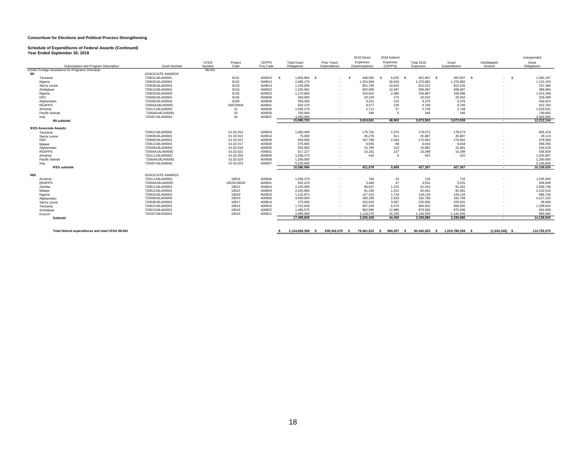# **Schedule of Expenditures of Federal Awards (Continued) Year Ended September 30, 2018**

|                                                |                         |        |             |              |                    |              |                          | 2018 Direct     |        | 2018 Indirect |            |     |              |             |              | Unexpended  |
|------------------------------------------------|-------------------------|--------|-------------|--------------|--------------------|--------------|--------------------------|-----------------|--------|---------------|------------|-----|--------------|-------------|--------------|-------------|
|                                                |                         | CFDA   | Project     | <b>CEPPS</b> | <b>Total Grant</b> |              | Prior Years'             | Expenses        |        | Expenses      | Total 2018 |     | Grant        | Deobligated |              | Grant       |
| Subrecipient and Program Description           | <b>Grant Number</b>     | Number | Code        | Proj Code    | Obligations        |              | Expenditures             | (Subrecipients) |        | (CEPPS)       | Expenses   |     | Expenditures | Amount      |              | Obligations |
| USAID Foreign Assistance for Programs Overseas |                         | 98.001 |             |              |                    |              |                          |                 |        |               |            |     |              |             |              |             |
| IRI                                            | <b>ASSOCIATE AWARDS</b> |        |             |              |                    |              |                          |                 |        |               |            |     |              |             |              |             |
| Tanzania                                       | 72062118LA00001         |        | 8131        | A00810 \$    |                    | 1.934.804 \$ | $\overline{\phantom{a}}$ | 446.582<br>- \$ |        | $6.025$ \$    | 452.607    | - S | 452.607 \$   | a.          | $\mathbf{s}$ | 1.482.197   |
| Nigeria                                        | 72062018LA00001         |        | 8132        | A00813       |                    | 2,486,175    | $\overline{\phantom{a}}$ | 1,254,064       |        | 16,919        | 1,270,983  |     | 1,270,982    |             |              | 1,215,193   |
| Sierra Leone                                   | 72063618LA00001         |        | 8133        | A00814       |                    | 1,150,000    | $\overline{\phantom{a}}$ | 801,705         |        | 10,816        | 812,521    |     | 812,520      |             |              | 337,480     |
| Zimbabwe                                       | 72061318LA00001         |        | 8134        | A00822       |                    | 1,325,081    | $\overline{\phantom{a}}$ | 925,600         |        | 12,487        | 938,087    |     | 938,087      |             |              | 386,994     |
| Nigeria                                        | 72062018LA00002         |        | 8135        | A00823       |                    | 1,170,894    | ٠                        | 154,601         |        | 2.086         | 156,687    |     | 156,686      |             |              | 1,014,208   |
| <b>DRC</b>                                     | 72066018LA00001         |        | 8136        | A00828       |                    | 350,000      | $\overline{\phantom{a}}$ | 20,229          |        | 273           | 20.502     |     | 20,502       |             |              | 329,498     |
| Afghanistan                                    | 72030618LA00004         |        | 8188        | A00830       |                    | 550,000      | ٠                        | 9,251           |        | 125           | 9,376      |     | 9,376        |             |              | 540,624     |
| <b>REAPPS</b>                                  | 7200AA18LA00005         |        | 0007/0004   | A00831       |                    | 932,470      | $\overline{\phantom{a}}$ | 9.577           |        | 129           | 9.706      |     | 9.706        |             |              | 922,764     |
| Armenia                                        | 72011118LA00002         |        | 31          | A00834       |                    | 1,036,279    | $\overline{\phantom{a}}$ |                 | 2.712  | 37            | 2,749      |     | 2,748        |             |              | 1,033,531   |
| Pacific Islands                                | 7200AA18CA00061         |        | 33          | A00836       |                    | 750,000      | $\overline{\phantom{a}}$ |                 | 340    | -5            | 345        |     | 345          |             |              | 749,655     |
| Iraq                                           | 72026718LA00002         |        | 32          | A00837       |                    | 4.300.000    | $\overline{\phantom{a}}$ |                 |        |               |            |     |              |             |              | 4.300.000   |
| <b>IRI</b> subtotal                            |                         |        |             |              |                    | 15,985,703   | $\sim$                   | 3.624.661       |        | 48,902        | 3,673,563  |     | 3,673,559    | $\sim$      |              | 12,312,144  |
|                                                |                         |        |             |              |                    |              |                          |                 |        |               |            |     |              |             |              |             |
| <b>IFES Associate Awards</b>                   |                         |        |             |              |                    |              |                          |                 |        |               |            |     |              |             |              |             |
| Tanzania                                       | 72062118LA00001         |        | 01.02.014   | A00810       |                    | 1,083,490    | ٠                        | 175,702         |        | 2,370         | 178,072    |     | 178,073      |             |              | 905,418     |
| Sierra Leone                                   | 72063618LA00001         |        | 01.02.015   | A00814       |                    | 75,000       | $\overline{\phantom{a}}$ | 45.276          |        | 611           | 45.887     |     | 45.887       |             |              | 29,113      |
| DRC                                            | 72066018LA00001         |        | 01.02.021   | A00828       |                    | 650,000      | $\overline{\phantom{a}}$ | 167,799         |        | 2,264         | 170,063    |     | 170,062      |             |              | 479,938     |
| Malawi                                         | 72061218LA00001         |        | 01.02.017   | A00829       |                    | 375,000      | $\overline{\phantom{a}}$ |                 | 6,555  | 88            | 6.643      |     | 6,644        |             |              | 368,356     |
| Afghanistan                                    | 72030618LA00004         |        | 01.02.018   | A00830       |                    | 550,000      | $\overline{\phantom{a}}$ | 15.769          |        | 213           | 15,982     |     | 15,981       |             |              | 534,019     |
| <b>REAPPS</b>                                  | 7200AA18LA00005         |        | 01.02.022   | A00831       |                    | 517,227      | $\overline{\phantom{a}}$ | 10,161          |        | 137           | 10,298     |     | 10,298       |             |              | 506,929     |
| Armenia                                        | 72011118LA00002         |        | 01.02.020   | A00834       |                    | 1,036,279    |                          |                 | 416    | 6             | 422        |     | 422          |             |              | 1,035,857   |
| Pacific Islands                                | 7200AA18CA00061         |        | 01.02.024   | A00836       |                    | 1,200,000    | $\overline{\phantom{a}}$ |                 | $\sim$ | ٠             |            |     |              |             |              | 1,200,000   |
| Iraq                                           | 72026718LA00002         |        | 01.02.023   | A00837       |                    | 5.100.000    |                          |                 |        |               |            |     |              |             |              | 5.100.000   |
| <b>IFES</b> subtotal                           |                         |        |             |              |                    | 10.586.996   | $\sim$                   | 421.678         |        | 5.689         | 427.367    |     | 427,367      | $\sim$      |              | 10,159,630  |
|                                                |                         |        |             |              |                    |              |                          |                 |        |               |            |     |              |             |              |             |
| <b>NDI</b>                                     | ASSOCIATE AWARDS        |        |             |              |                    |              |                          |                 |        |               |            |     |              |             |              |             |
| Armenia                                        | 72011118LA00002         |        | 18524       | A00834       |                    | 1,036,279    | $\overline{\phantom{a}}$ |                 | 706    | 10            | 716        |     | 716          |             |              | 1,035,563   |
| <b>REAPPS</b>                                  | 7200AA18LA00005         |        | 18525/18526 | A00831       |                    | 932,470      | $\overline{\phantom{a}}$ |                 | 3,484  | 47            | 3,531      |     | 3,531        |             |              | 928,939     |
| Zambia                                         | 72061118LA00001         |        | 18521       | A00824       |                    | 2,150,000    | $\overline{\phantom{a}}$ | 90,037          |        | 1,215         | 91,252     |     | 91,252       |             |              | 2,058,748   |
| Malawi                                         | 72061218LA00001         |        | 18522       | A00829       |                    | 2,325,000    | ٠                        | 91,250          |        | 1,231         | 92,481     |     | 92,481       |             |              | 2,232,519   |
| Nigeria                                        | 72062018LA00002         |        | 18520       | A00823       |                    | 1,115,874    | $\overline{\phantom{a}}$ | 127,415         |        | 1,719         | 129,134    |     | 129,134      |             |              | 986,740     |
| Afghanistan                                    | 72030618LA00004         |        | 18523       | A00830       |                    | 4,400,000    | $\overline{\phantom{a}}$ | 180,335         |        | 2,433         | 182,768    |     | 182,768      |             |              | 4,217,232   |
| Sierra Leone                                   | 72063618LA00001         |        | 18517       | A00814       |                    | 275,000      | ٠                        | 222,923         |        | 3,007         | 225,930    |     | 225,931      |             |              | 49,069      |
| Tanzania                                       | 72062118LA00001         |        | 18514       | A00810       |                    | 1,702,628    | $\overline{\phantom{a}}$ | 487.426         |        | 6.576         | 494.002    |     | 494,002      |             |              | 1,208,626   |
| Zimbabwe                                       | 72061318LA00001         |        | 18519       | A00822       |                    | 1,466,575    | $\overline{\phantom{a}}$ | 962,580         |        | 12,986        | 975,566    |     | 975,566      |             |              | 491,009     |
| Kosovo                                         | 72016718LE00001         |        | 18516       | A00811       |                    | 2,095,000    | $\overline{\phantom{a}}$ | 1,129,270       |        | 15,235        | 1,144,505  |     | 1,144,505    |             |              | 950,495     |
| Subtotal                                       |                         |        |             |              |                    | 17,498,826   | $\sim$                   | 3,295,426       |        | 44,459        | 3,339,885  |     | 3,339,886    | $\sim$      |              | 14,158,940  |
|                                                |                         |        |             |              |                    |              |                          |                 |        |               |            |     |              |             |              |             |
|                                                |                         |        |             |              |                    |              |                          |                 |        |               |            |     |              |             |              |             |
|                                                |                         |        |             |              |                    |              |                          |                 |        |               |            |     |              |             |              |             |

**Total federal expenditures and total CFDA 98.001 \$ 1,134,656,389 \$ 939,342,476 \$ 79,461,523 \$ 984,397 \$ 80,445,920 \$ 1,019,788,394 \$ (1,534,245) \$ 114,792,070**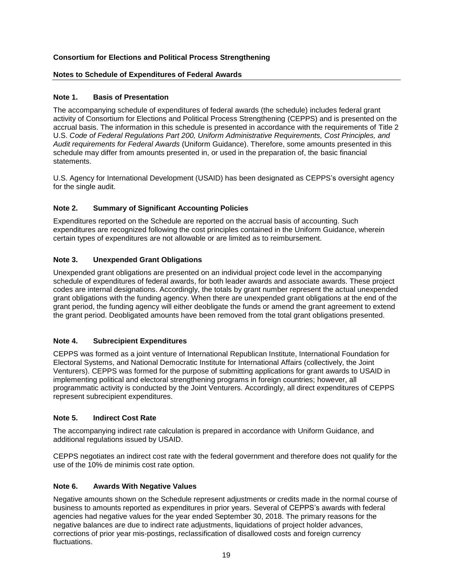# **Notes to Schedule of Expenditures of Federal Awards**

# **Note 1. Basis of Presentation**

The accompanying schedule of expenditures of federal awards (the schedule) includes federal grant activity of Consortium for Elections and Political Process Strengthening (CEPPS) and is presented on the accrual basis. The information in this schedule is presented in accordance with the requirements of Title 2 U.S. *Code of Federal Regulations Part 200, Uniform Administrative Requirements, Cost Principles, and Audit requirements for Federal Awards* (Uniform Guidance). Therefore, some amounts presented in this schedule may differ from amounts presented in, or used in the preparation of, the basic financial statements.

U.S. Agency for International Development (USAID) has been designated as CEPPS's oversight agency for the single audit.

# **Note 2. Summary of Significant Accounting Policies**

Expenditures reported on the Schedule are reported on the accrual basis of accounting. Such expenditures are recognized following the cost principles contained in the Uniform Guidance, wherein certain types of expenditures are not allowable or are limited as to reimbursement.

# **Note 3. Unexpended Grant Obligations**

Unexpended grant obligations are presented on an individual project code level in the accompanying schedule of expenditures of federal awards, for both leader awards and associate awards. These project codes are internal designations. Accordingly, the totals by grant number represent the actual unexpended grant obligations with the funding agency. When there are unexpended grant obligations at the end of the grant period, the funding agency will either deobligate the funds or amend the grant agreement to extend the grant period. Deobligated amounts have been removed from the total grant obligations presented.

# **Note 4. Subrecipient Expenditures**

CEPPS was formed as a joint venture of International Republican Institute, International Foundation for Electoral Systems, and National Democratic Institute for International Affairs (collectively, the Joint Venturers). CEPPS was formed for the purpose of submitting applications for grant awards to USAID in implementing political and electoral strengthening programs in foreign countries; however, all programmatic activity is conducted by the Joint Venturers. Accordingly, all direct expenditures of CEPPS represent subrecipient expenditures.

# **Note 5. Indirect Cost Rate**

The accompanying indirect rate calculation is prepared in accordance with Uniform Guidance, and additional regulations issued by USAID.

CEPPS negotiates an indirect cost rate with the federal government and therefore does not qualify for the use of the 10% de minimis cost rate option.

# **Note 6. Awards With Negative Values**

Negative amounts shown on the Schedule represent adjustments or credits made in the normal course of business to amounts reported as expenditures in prior years. Several of CEPPS's awards with federal agencies had negative values for the year ended September 30, 2018. The primary reasons for the negative balances are due to indirect rate adjustments, liquidations of project holder advances, corrections of prior year mis-postings, reclassification of disallowed costs and foreign currency fluctuations.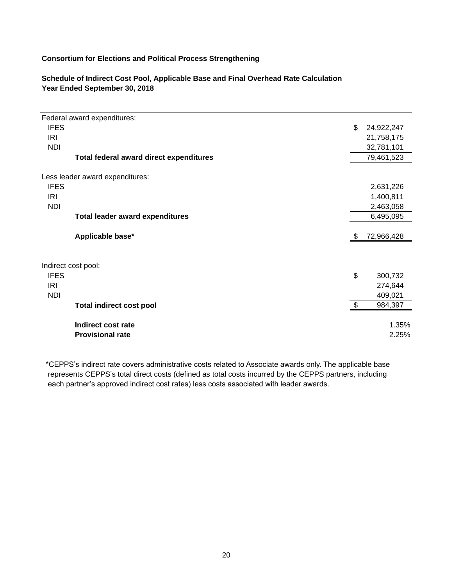# **Schedule of Indirect Cost Pool, Applicable Base and Final Overhead Rate Calculation Year Ended September 30, 2018**

| \$<br>24,922,247 |
|------------------|
| 21,758,175       |
| 32,781,101       |
| 79,461,523       |
|                  |
| 2,631,226        |
| 1,400,811        |
| 2,463,058        |
| 6,495,095        |
| 72,966,428       |
|                  |
|                  |
|                  |
| 300,732          |
| 274,644          |
| 409,021          |
| 984,397          |
| 1.35%            |
| 2.25%            |
| \$<br>\$.        |

 \*CEPPS's indirect rate covers administrative costs related to Associate awards only. The applicable base represents CEPPS's total direct costs (defined as total costs incurred by the CEPPS partners, including each partner's approved indirect cost rates) less costs associated with leader awards.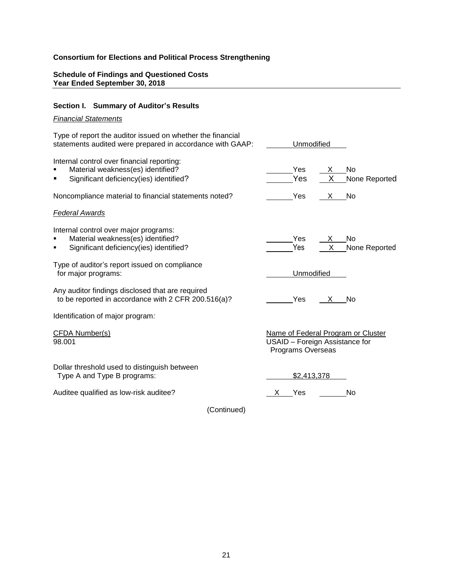### **Schedule of Findings and Questioned Costs Year Ended September 30, 2018**

# **Section I. Summary of Auditor's Results**

# *Financial Statements*

| Auditee qualified as low-risk auditee?                                                                                     | Yes<br>No<br>х                                                                            |
|----------------------------------------------------------------------------------------------------------------------------|-------------------------------------------------------------------------------------------|
| Dollar threshold used to distinguish between<br>Type A and Type B programs:                                                | \$2,413,378                                                                               |
| CFDA Number(s)<br>98.001                                                                                                   | Name of Federal Program or Cluster<br>USAID - Foreign Assistance for<br>Programs Overseas |
| Identification of major program.                                                                                           |                                                                                           |
| Any auditor findings disclosed that are required<br>to be reported in accordance with 2 CFR 200.516(a)?                    | Yes<br>No<br>X                                                                            |
| Type of auditor's report issued on compliance<br>for major programs:                                                       | Unmodified                                                                                |
| Internal control over major programs:<br>Material weakness(es) identified?<br>Significant deficiency(ies) identified?      | Yes<br>X<br>No<br>Yes<br>X<br>None Reported                                               |
| <b>Federal Awards</b>                                                                                                      |                                                                                           |
| Noncompliance material to financial statements noted?                                                                      | No<br>Yes<br>X                                                                            |
| Internal control over financial reporting:<br>Material weakness(es) identified?<br>Significant deficiency(ies) identified? | <b>No</b><br>Yes<br>х<br>X<br>Yes<br>None Reported                                        |
| Type of report the auditor issued on whether the financial<br>statements audited were prepared in accordance with GAAP:    | Unmodified                                                                                |

(Continued)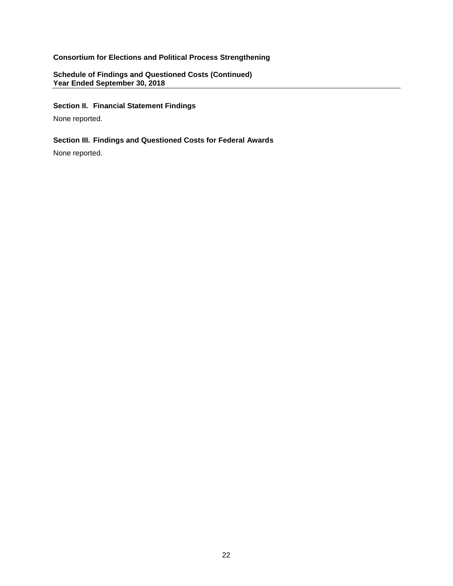### **Schedule of Findings and Questioned Costs (Continued) Year Ended September 30, 2018**

# **Section II. Financial Statement Findings**

None reported.

# **Section III. Findings and Questioned Costs for Federal Awards**

None reported.